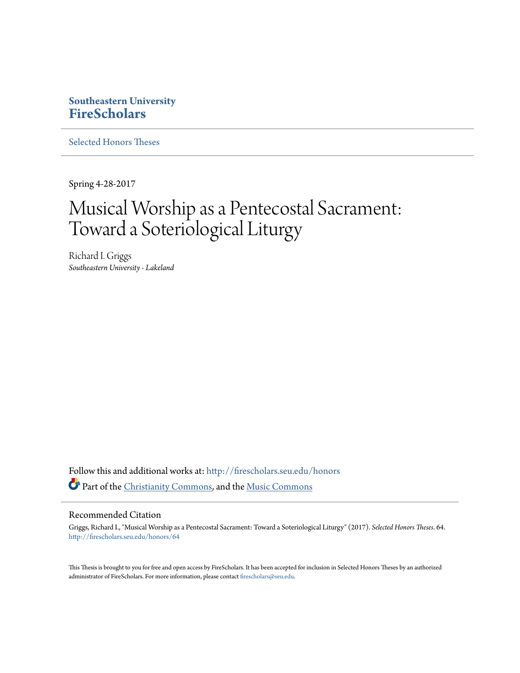# **Southeastern University [FireScholars](http://firescholars.seu.edu?utm_source=firescholars.seu.edu%2Fhonors%2F64&utm_medium=PDF&utm_campaign=PDFCoverPages)**

[Selected Honors Theses](http://firescholars.seu.edu/honors?utm_source=firescholars.seu.edu%2Fhonors%2F64&utm_medium=PDF&utm_campaign=PDFCoverPages)

Spring 4-28-2017

# Musical Worship as a Pentecostal Sacrament: Toward a Soteriological Liturgy

Richard I. Griggs *Southeastern University - Lakeland*

Follow this and additional works at: [http://firescholars.seu.edu/honors](http://firescholars.seu.edu/honors?utm_source=firescholars.seu.edu%2Fhonors%2F64&utm_medium=PDF&utm_campaign=PDFCoverPages) Part of the [Christianity Commons,](http://network.bepress.com/hgg/discipline/1181?utm_source=firescholars.seu.edu%2Fhonors%2F64&utm_medium=PDF&utm_campaign=PDFCoverPages) and the [Music Commons](http://network.bepress.com/hgg/discipline/518?utm_source=firescholars.seu.edu%2Fhonors%2F64&utm_medium=PDF&utm_campaign=PDFCoverPages)

#### Recommended Citation

Griggs, Richard I., "Musical Worship as a Pentecostal Sacrament: Toward a Soteriological Liturgy" (2017). *Selected Honors Theses*. 64. [http://firescholars.seu.edu/honors/64](http://firescholars.seu.edu/honors/64?utm_source=firescholars.seu.edu%2Fhonors%2F64&utm_medium=PDF&utm_campaign=PDFCoverPages)

This Thesis is brought to you for free and open access by FireScholars. It has been accepted for inclusion in Selected Honors Theses by an authorized administrator of FireScholars. For more information, please contact [firescholars@seu.edu](mailto:firescholars@seu.edu).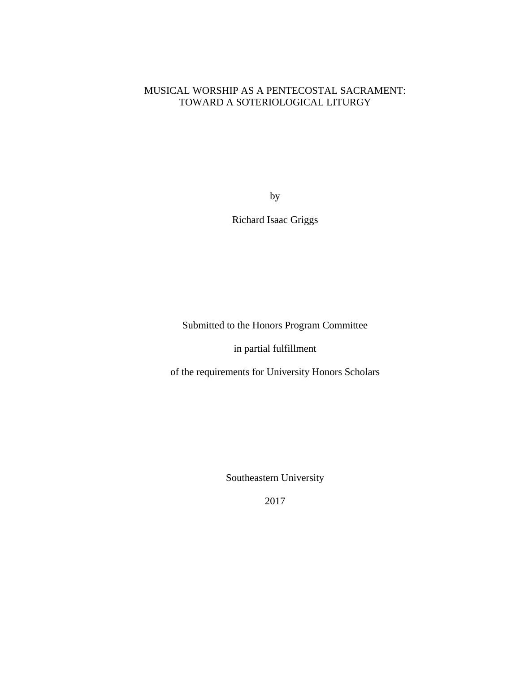# MUSICAL WORSHIP AS A PENTECOSTAL SACRAMENT: TOWARD A SOTERIOLOGICAL LITURGY

by

Richard Isaac Griggs

Submitted to the Honors Program Committee

in partial fulfillment

of the requirements for University Honors Scholars

Southeastern University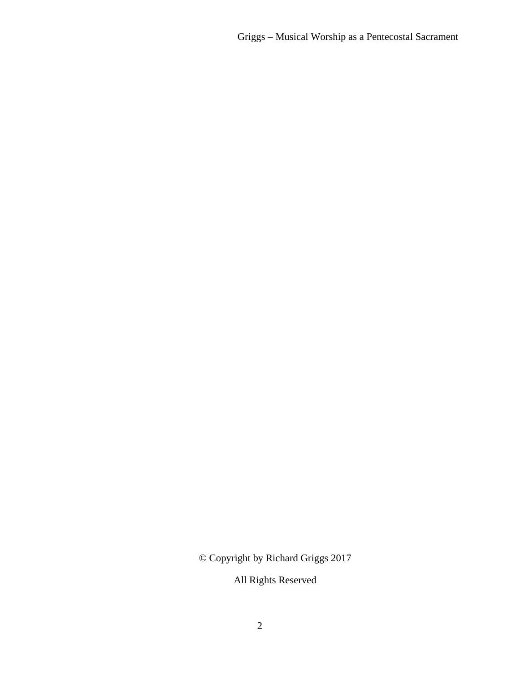© Copyright by Richard Griggs 2017

All Rights Reserved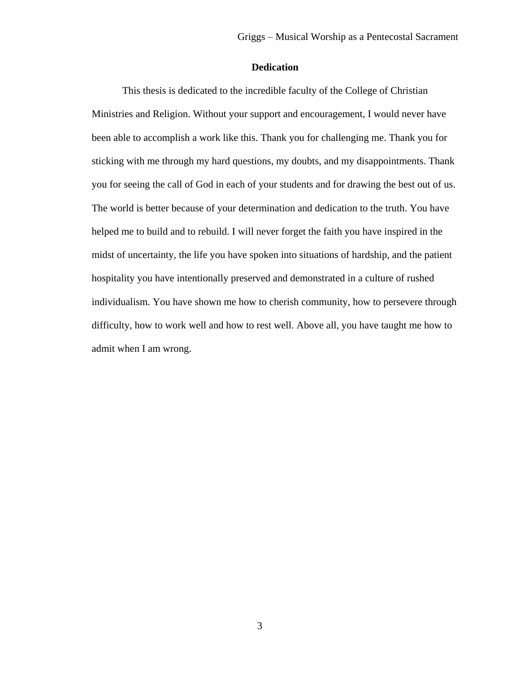### **Dedication**

This thesis is dedicated to the incredible faculty of the College of Christian Ministries and Religion. Without your support and encouragement, I would never have been able to accomplish a work like this. Thank you for challenging me. Thank you for sticking with me through my hard questions, my doubts, and my disappointments. Thank you for seeing the call of God in each of your students and for drawing the best out of us. The world is better because of your determination and dedication to the truth. You have helped me to build and to rebuild. I will never forget the faith you have inspired in the midst of uncertainty, the life you have spoken into situations of hardship, and the patient hospitality you have intentionally preserved and demonstrated in a culture of rushed individualism. You have shown me how to cherish community, how to persevere through difficulty, how to work well and how to rest well. Above all, you have taught me how to admit when I am wrong.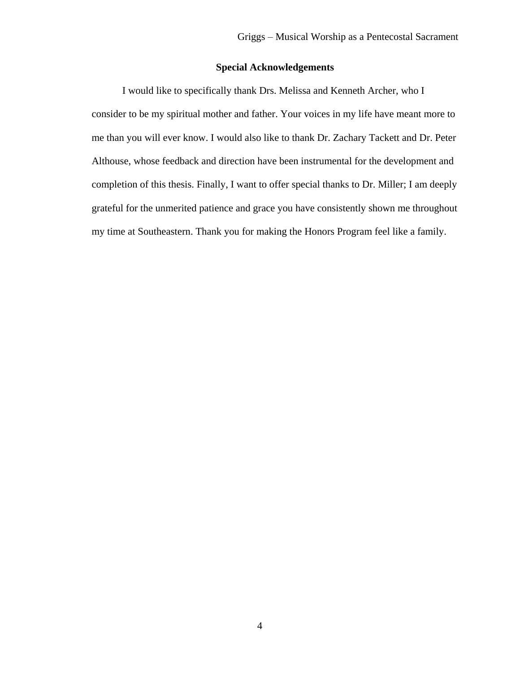# **Special Acknowledgements**

I would like to specifically thank Drs. Melissa and Kenneth Archer, who I consider to be my spiritual mother and father. Your voices in my life have meant more to me than you will ever know. I would also like to thank Dr. Zachary Tackett and Dr. Peter Althouse, whose feedback and direction have been instrumental for the development and completion of this thesis. Finally, I want to offer special thanks to Dr. Miller; I am deeply grateful for the unmerited patience and grace you have consistently shown me throughout my time at Southeastern. Thank you for making the Honors Program feel like a family.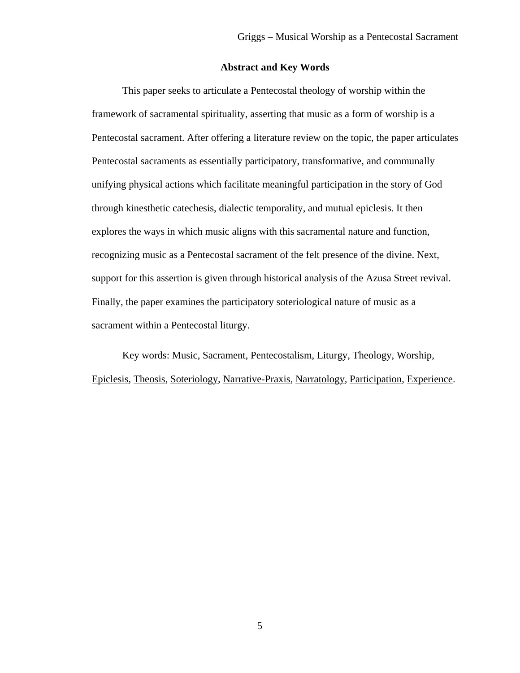# **Abstract and Key Words**

This paper seeks to articulate a Pentecostal theology of worship within the framework of sacramental spirituality, asserting that music as a form of worship is a Pentecostal sacrament. After offering a literature review on the topic, the paper articulates Pentecostal sacraments as essentially participatory, transformative, and communally unifying physical actions which facilitate meaningful participation in the story of God through kinesthetic catechesis, dialectic temporality, and mutual epiclesis. It then explores the ways in which music aligns with this sacramental nature and function, recognizing music as a Pentecostal sacrament of the felt presence of the divine. Next, support for this assertion is given through historical analysis of the Azusa Street revival. Finally, the paper examines the participatory soteriological nature of music as a sacrament within a Pentecostal liturgy.

Key words: Music, Sacrament, Pentecostalism, Liturgy, Theology, Worship, Epiclesis, Theosis, Soteriology, Narrative-Praxis, Narratology, Participation, Experience.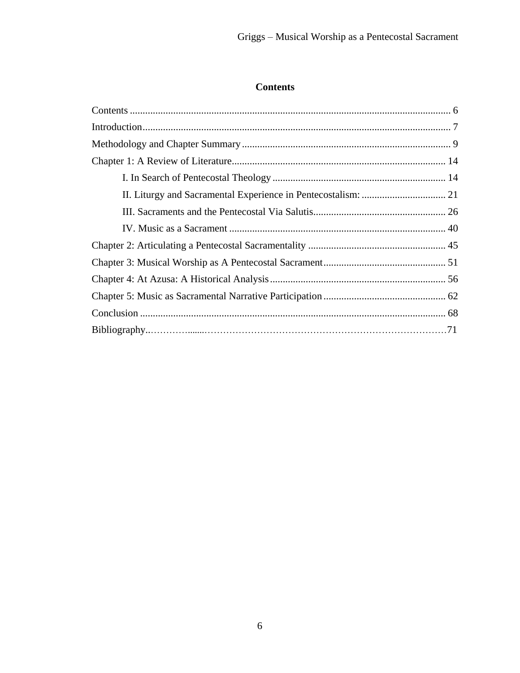# <span id="page-6-0"></span>**Contents**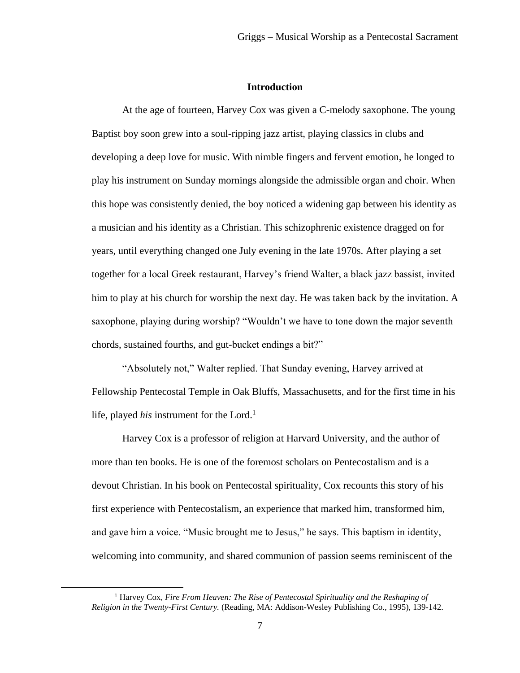#### **Introduction**

<span id="page-7-0"></span>At the age of fourteen, Harvey Cox was given a C-melody saxophone. The young Baptist boy soon grew into a soul-ripping jazz artist, playing classics in clubs and developing a deep love for music. With nimble fingers and fervent emotion, he longed to play his instrument on Sunday mornings alongside the admissible organ and choir. When this hope was consistently denied, the boy noticed a widening gap between his identity as a musician and his identity as a Christian. This schizophrenic existence dragged on for years, until everything changed one July evening in the late 1970s. After playing a set together for a local Greek restaurant, Harvey's friend Walter, a black jazz bassist, invited him to play at his church for worship the next day. He was taken back by the invitation. A saxophone, playing during worship? "Wouldn't we have to tone down the major seventh chords, sustained fourths, and gut-bucket endings a bit?"

"Absolutely not," Walter replied. That Sunday evening, Harvey arrived at Fellowship Pentecostal Temple in Oak Bluffs, Massachusetts, and for the first time in his life, played *his* instrument for the Lord.<sup>1</sup>

Harvey Cox is a professor of religion at Harvard University, and the author of more than ten books. He is one of the foremost scholars on Pentecostalism and is a devout Christian. In his book on Pentecostal spirituality, Cox recounts this story of his first experience with Pentecostalism, an experience that marked him, transformed him, and gave him a voice. "Music brought me to Jesus," he says. This baptism in identity, welcoming into community, and shared communion of passion seems reminiscent of the

<sup>&</sup>lt;sup>1</sup> Harvey Cox, *Fire From Heaven: The Rise of Pentecostal Spirituality and the Reshaping of Religion in the Twenty-First Century.* (Reading, MA: Addison-Wesley Publishing Co.*,* 1995), 139-142.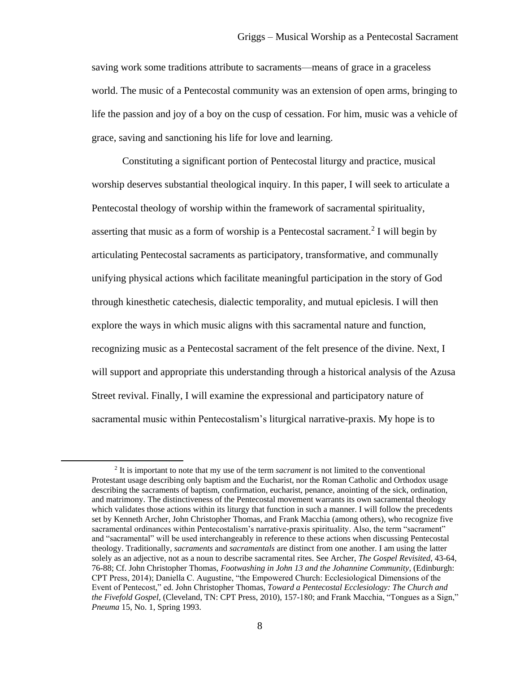saving work some traditions attribute to sacraments—means of grace in a graceless world. The music of a Pentecostal community was an extension of open arms, bringing to life the passion and joy of a boy on the cusp of cessation. For him, music was a vehicle of grace, saving and sanctioning his life for love and learning.

Constituting a significant portion of Pentecostal liturgy and practice, musical worship deserves substantial theological inquiry. In this paper, I will seek to articulate a Pentecostal theology of worship within the framework of sacramental spirituality, asserting that music as a form of worship is a Pentecostal sacrament.<sup>2</sup> I will begin by articulating Pentecostal sacraments as participatory, transformative, and communally unifying physical actions which facilitate meaningful participation in the story of God through kinesthetic catechesis, dialectic temporality, and mutual epiclesis. I will then explore the ways in which music aligns with this sacramental nature and function, recognizing music as a Pentecostal sacrament of the felt presence of the divine. Next, I will support and appropriate this understanding through a historical analysis of the Azusa Street revival. Finally, I will examine the expressional and participatory nature of sacramental music within Pentecostalism's liturgical narrative-praxis. My hope is to

<sup>2</sup> It is important to note that my use of the term *sacrament* is not limited to the conventional Protestant usage describing only baptism and the Eucharist, nor the Roman Catholic and Orthodox usage describing the sacraments of baptism, confirmation, eucharist, penance, anointing of the sick, ordination, and matrimony. The distinctiveness of the Pentecostal movement warrants its own sacramental theology which validates those actions within its liturgy that function in such a manner. I will follow the precedents set by Kenneth Archer, John Christopher Thomas, and Frank Macchia (among others), who recognize five sacramental ordinances within Pentecostalism's narrative-praxis spirituality. Also, the term "sacrament" and "sacramental" will be used interchangeably in reference to these actions when discussing Pentecostal theology. Traditionally, *sacraments* and *sacramentals* are distinct from one another. I am using the latter solely as an adjective, not as a noun to describe sacramental rites. See Archer, *The Gospel Revisited,* 43-64, 76-88; Cf. John Christopher Thomas, *Footwashing in John 13 and the Johannine Community*, (Edinburgh: CPT Press, 2014); Daniella C. Augustine, "the Empowered Church: Ecclesiological Dimensions of the Event of Pentecost," ed. John Christopher Thomas, *Toward a Pentecostal Ecclesiology: The Church and the Fivefold Gospel,* (Cleveland, TN: CPT Press, 2010), 157-180; and Frank Macchia, "Tongues as a Sign," *Pneuma* 15, No. 1, Spring 1993.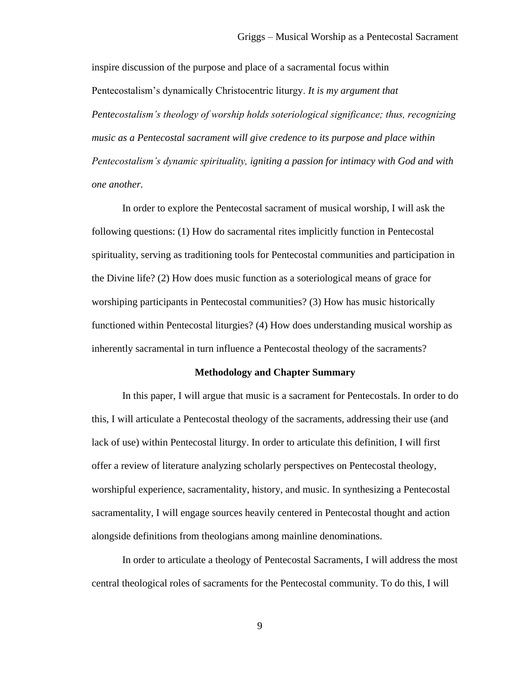inspire discussion of the purpose and place of a sacramental focus within Pentecostalism's dynamically Christocentric liturgy. *It is my argument that Pentecostalism's theology of worship holds soteriological significance; thus, recognizing music as a Pentecostal sacrament will give credence to its purpose and place within Pentecostalism's dynamic spirituality, igniting a passion for intimacy with God and with one another.*

In order to explore the Pentecostal sacrament of musical worship, I will ask the following questions: (1) How do sacramental rites implicitly function in Pentecostal spirituality, serving as traditioning tools for Pentecostal communities and participation in the Divine life? (2) How does music function as a soteriological means of grace for worshiping participants in Pentecostal communities? (3) How has music historically functioned within Pentecostal liturgies? (4) How does understanding musical worship as inherently sacramental in turn influence a Pentecostal theology of the sacraments?

#### **Methodology and Chapter Summary**

<span id="page-9-0"></span>In this paper, I will argue that music is a sacrament for Pentecostals. In order to do this, I will articulate a Pentecostal theology of the sacraments, addressing their use (and lack of use) within Pentecostal liturgy. In order to articulate this definition, I will first offer a review of literature analyzing scholarly perspectives on Pentecostal theology, worshipful experience, sacramentality, history, and music. In synthesizing a Pentecostal sacramentality, I will engage sources heavily centered in Pentecostal thought and action alongside definitions from theologians among mainline denominations.

In order to articulate a theology of Pentecostal Sacraments, I will address the most central theological roles of sacraments for the Pentecostal community. To do this, I will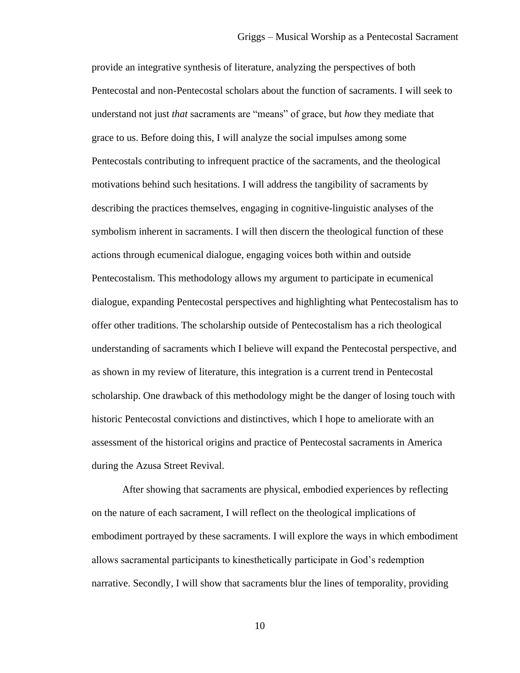provide an integrative synthesis of literature, analyzing the perspectives of both Pentecostal and non-Pentecostal scholars about the function of sacraments. I will seek to understand not just *that* sacraments are "means" of grace, but *how* they mediate that grace to us. Before doing this, I will analyze the social impulses among some Pentecostals contributing to infrequent practice of the sacraments, and the theological motivations behind such hesitations. I will address the tangibility of sacraments by describing the practices themselves, engaging in cognitive-linguistic analyses of the symbolism inherent in sacraments. I will then discern the theological function of these actions through ecumenical dialogue, engaging voices both within and outside Pentecostalism. This methodology allows my argument to participate in ecumenical dialogue, expanding Pentecostal perspectives and highlighting what Pentecostalism has to offer other traditions. The scholarship outside of Pentecostalism has a rich theological understanding of sacraments which I believe will expand the Pentecostal perspective, and as shown in my review of literature, this integration is a current trend in Pentecostal scholarship. One drawback of this methodology might be the danger of losing touch with historic Pentecostal convictions and distinctives, which I hope to ameliorate with an assessment of the historical origins and practice of Pentecostal sacraments in America during the Azusa Street Revival.

After showing that sacraments are physical, embodied experiences by reflecting on the nature of each sacrament, I will reflect on the theological implications of embodiment portrayed by these sacraments. I will explore the ways in which embodiment allows sacramental participants to kinesthetically participate in God's redemption narrative. Secondly, I will show that sacraments blur the lines of temporality, providing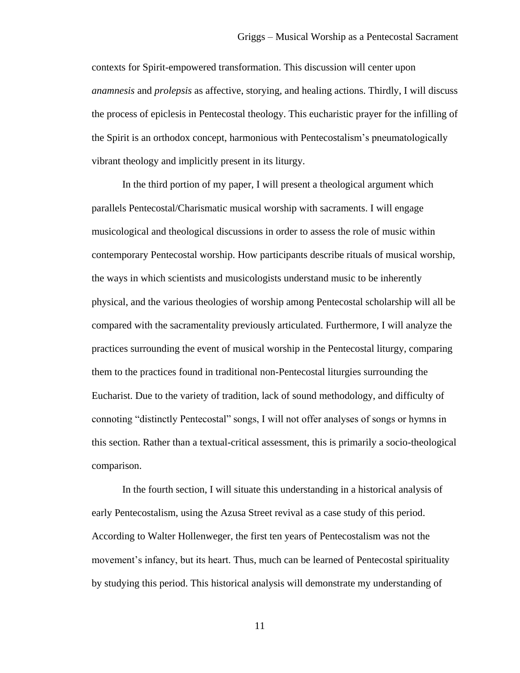contexts for Spirit-empowered transformation. This discussion will center upon *anamnesis* and *prolepsis* as affective, storying, and healing actions. Thirdly, I will discuss the process of epiclesis in Pentecostal theology. This eucharistic prayer for the infilling of the Spirit is an orthodox concept, harmonious with Pentecostalism's pneumatologically vibrant theology and implicitly present in its liturgy.

In the third portion of my paper, I will present a theological argument which parallels Pentecostal/Charismatic musical worship with sacraments. I will engage musicological and theological discussions in order to assess the role of music within contemporary Pentecostal worship. How participants describe rituals of musical worship, the ways in which scientists and musicologists understand music to be inherently physical, and the various theologies of worship among Pentecostal scholarship will all be compared with the sacramentality previously articulated. Furthermore, I will analyze the practices surrounding the event of musical worship in the Pentecostal liturgy, comparing them to the practices found in traditional non-Pentecostal liturgies surrounding the Eucharist. Due to the variety of tradition, lack of sound methodology, and difficulty of connoting "distinctly Pentecostal" songs, I will not offer analyses of songs or hymns in this section. Rather than a textual-critical assessment, this is primarily a socio-theological comparison.

In the fourth section, I will situate this understanding in a historical analysis of early Pentecostalism, using the Azusa Street revival as a case study of this period. According to Walter Hollenweger, the first ten years of Pentecostalism was not the movement's infancy, but its heart. Thus, much can be learned of Pentecostal spirituality by studying this period. This historical analysis will demonstrate my understanding of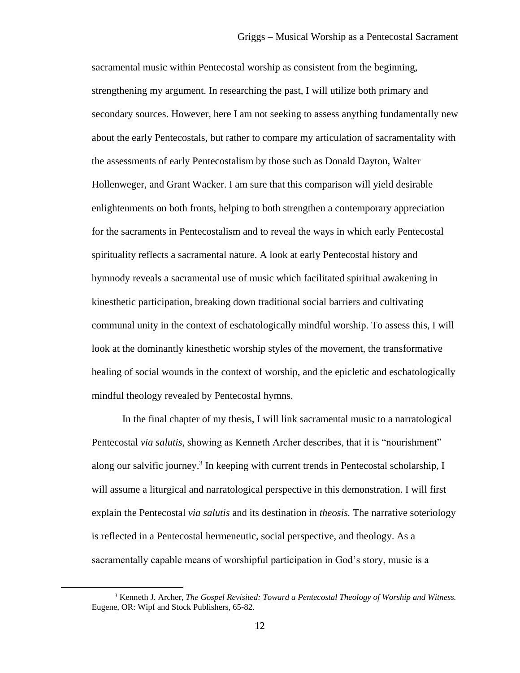sacramental music within Pentecostal worship as consistent from the beginning, strengthening my argument. In researching the past, I will utilize both primary and secondary sources. However, here I am not seeking to assess anything fundamentally new about the early Pentecostals, but rather to compare my articulation of sacramentality with the assessments of early Pentecostalism by those such as Donald Dayton, Walter Hollenweger, and Grant Wacker. I am sure that this comparison will yield desirable enlightenments on both fronts, helping to both strengthen a contemporary appreciation for the sacraments in Pentecostalism and to reveal the ways in which early Pentecostal spirituality reflects a sacramental nature. A look at early Pentecostal history and hymnody reveals a sacramental use of music which facilitated spiritual awakening in kinesthetic participation, breaking down traditional social barriers and cultivating communal unity in the context of eschatologically mindful worship. To assess this, I will look at the dominantly kinesthetic worship styles of the movement, the transformative healing of social wounds in the context of worship, and the epicletic and eschatologically mindful theology revealed by Pentecostal hymns.

In the final chapter of my thesis, I will link sacramental music to a narratological Pentecostal *via salutis*, showing as Kenneth Archer describes, that it is "nourishment" along our salvific journey.<sup>3</sup> In keeping with current trends in Pentecostal scholarship, I will assume a liturgical and narratological perspective in this demonstration. I will first explain the Pentecostal *via salutis* and its destination in *theosis.* The narrative soteriology is reflected in a Pentecostal hermeneutic, social perspective, and theology. As a sacramentally capable means of worshipful participation in God's story, music is a

<sup>3</sup> Kenneth J. Archer, *The Gospel Revisited: Toward a Pentecostal Theology of Worship and Witness.*  Eugene, OR: Wipf and Stock Publishers, 65-82.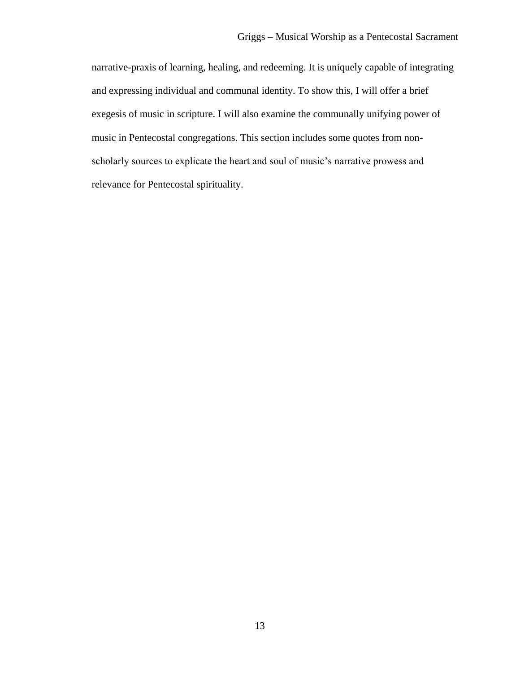<span id="page-13-0"></span>narrative-praxis of learning, healing, and redeeming. It is uniquely capable of integrating and expressing individual and communal identity. To show this, I will offer a brief exegesis of music in scripture. I will also examine the communally unifying power of music in Pentecostal congregations. This section includes some quotes from nonscholarly sources to explicate the heart and soul of music's narrative prowess and relevance for Pentecostal spirituality.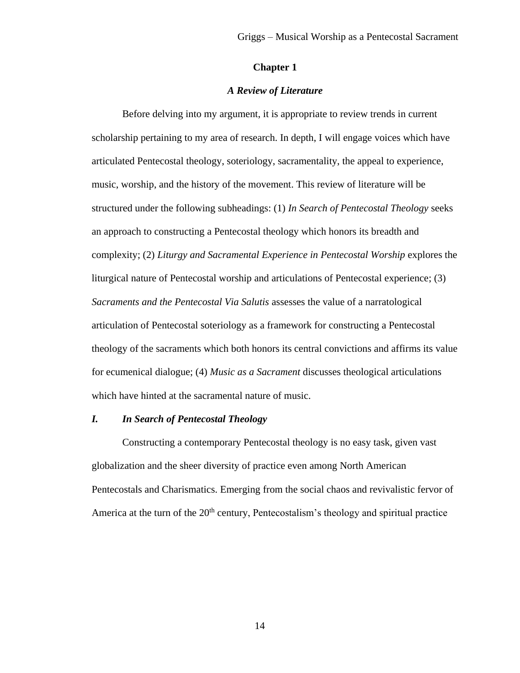#### **Chapter 1**

#### *A Review of Literature*

<span id="page-14-0"></span>Before delving into my argument, it is appropriate to review trends in current scholarship pertaining to my area of research. In depth, I will engage voices which have articulated Pentecostal theology, soteriology, sacramentality, the appeal to experience, music, worship, and the history of the movement. This review of literature will be structured under the following subheadings: (1) *In Search of Pentecostal Theology* seeks an approach to constructing a Pentecostal theology which honors its breadth and complexity; (2) *Liturgy and Sacramental Experience in Pentecostal Worship* explores the liturgical nature of Pentecostal worship and articulations of Pentecostal experience; (3) *Sacraments and the Pentecostal Via Salutis* assesses the value of a narratological articulation of Pentecostal soteriology as a framework for constructing a Pentecostal theology of the sacraments which both honors its central convictions and affirms its value for ecumenical dialogue; (4) *Music as a Sacrament* discusses theological articulations which have hinted at the sacramental nature of music.

# <span id="page-14-1"></span>*I. In Search of Pentecostal Theology*

Constructing a contemporary Pentecostal theology is no easy task, given vast globalization and the sheer diversity of practice even among North American Pentecostals and Charismatics. Emerging from the social chaos and revivalistic fervor of America at the turn of the  $20<sup>th</sup>$  century, Pentecostalism's theology and spiritual practice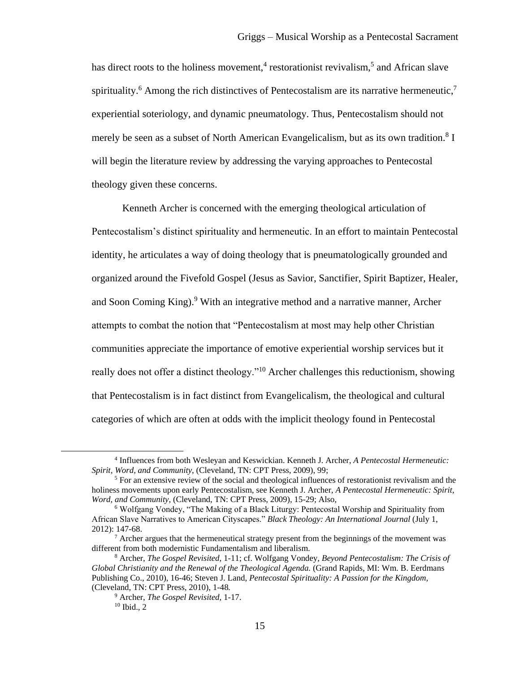has direct roots to the holiness movement,<sup>4</sup> restorationist revivalism,<sup>5</sup> and African slave spirituality.<sup>6</sup> Among the rich distinctives of Pentecostalism are its narrative hermeneutic,<sup>7</sup> experiential soteriology, and dynamic pneumatology. Thus, Pentecostalism should not merely be seen as a subset of North American Evangelicalism, but as its own tradition.<sup>8</sup> I will begin the literature review by addressing the varying approaches to Pentecostal theology given these concerns.

Kenneth Archer is concerned with the emerging theological articulation of Pentecostalism's distinct spirituality and hermeneutic. In an effort to maintain Pentecostal identity, he articulates a way of doing theology that is pneumatologically grounded and organized around the Fivefold Gospel (Jesus as Savior, Sanctifier, Spirit Baptizer, Healer, and Soon Coming King).<sup>9</sup> With an integrative method and a narrative manner, Archer attempts to combat the notion that "Pentecostalism at most may help other Christian communities appreciate the importance of emotive experiential worship services but it really does not offer a distinct theology."<sup>10</sup> Archer challenges this reductionism, showing that Pentecostalism is in fact distinct from Evangelicalism, the theological and cultural categories of which are often at odds with the implicit theology found in Pentecostal

 $\overline{a}$ 

<sup>4</sup> Influences from both Wesleyan and Keswickian. Kenneth J. Archer, *A Pentecostal Hermeneutic: Spirit, Word, and Community*, (Cleveland, TN: CPT Press, 2009), 99;

<sup>5</sup> For an extensive review of the social and theological influences of restorationist revivalism and the holiness movements upon early Pentecostalism, see Kenneth J. Archer, *A Pentecostal Hermeneutic: Spirit, Word, and Community*, (Cleveland, TN: CPT Press, 2009), 15-29; Also,

<sup>6</sup> Wolfgang Vondey, "The Making of a Black Liturgy: Pentecostal Worship and Spirituality from African Slave Narratives to American Cityscapes." *Black Theology: An International Journal* (July 1, 2012): 147-68.

<sup>7</sup> Archer argues that the hermeneutical strategy present from the beginnings of the movement was different from both modernistic Fundamentalism and liberalism.

<sup>8</sup> Archer, *The Gospel Revisited,* 1-11; cf. Wolfgang Vondey, *Beyond Pentecostalism: The Crisis of Global Christianity and the Renewal of the Theological Agenda.* (Grand Rapids, MI: Wm. B. Eerdmans Publishing Co., 2010), 16-46; Steven J. Land, *Pentecostal Spirituality: A Passion for the Kingdom,*  (Cleveland, TN: CPT Press, 2010), 1-48*.*

<sup>9</sup> Archer, *The Gospel Revisited,* 1-17.  $10$  Ibid., 2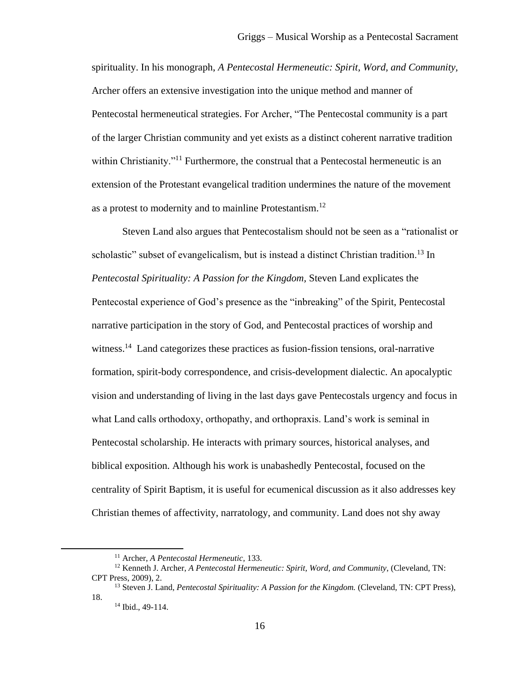spirituality. In his monograph, *A Pentecostal Hermeneutic: Spirit, Word, and Community,*  Archer offers an extensive investigation into the unique method and manner of Pentecostal hermeneutical strategies. For Archer, "The Pentecostal community is a part of the larger Christian community and yet exists as a distinct coherent narrative tradition within Christianity."<sup>11</sup> Furthermore, the construal that a Pentecostal hermeneutic is an extension of the Protestant evangelical tradition undermines the nature of the movement as a protest to modernity and to mainline Protestantism.<sup>12</sup>

Steven Land also argues that Pentecostalism should not be seen as a "rationalist or scholastic" subset of evangelicalism, but is instead a distinct Christian tradition.<sup>13</sup> In *Pentecostal Spirituality: A Passion for the Kingdom,* Steven Land explicates the Pentecostal experience of God's presence as the "inbreaking" of the Spirit, Pentecostal narrative participation in the story of God, and Pentecostal practices of worship and witness.<sup>14</sup> Land categorizes these practices as fusion-fission tensions, oral-narrative formation, spirit-body correspondence, and crisis-development dialectic. An apocalyptic vision and understanding of living in the last days gave Pentecostals urgency and focus in what Land calls orthodoxy, orthopathy, and orthopraxis. Land's work is seminal in Pentecostal scholarship. He interacts with primary sources, historical analyses, and biblical exposition. Although his work is unabashedly Pentecostal, focused on the centrality of Spirit Baptism, it is useful for ecumenical discussion as it also addresses key Christian themes of affectivity, narratology, and community. Land does not shy away

<sup>11</sup> Archer, *A Pentecostal Hermeneutic,* 133.

<sup>12</sup> Kenneth J. Archer, *A Pentecostal Hermeneutic: Spirit, Word, and Community*, (Cleveland, TN: CPT Press, 2009), 2.

<sup>&</sup>lt;sup>13</sup> Steven J. Land, *Pentecostal Spirituality: A Passion for the Kingdom.* (Cleveland, TN: CPT Press), 18.

<sup>14</sup> Ibid., 49-114.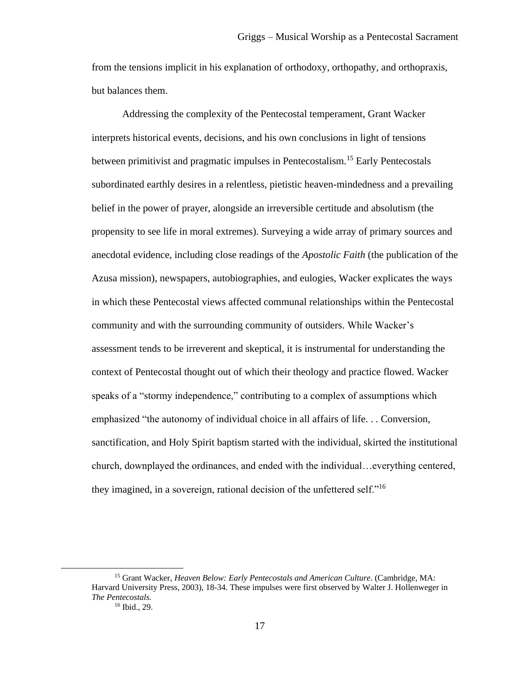from the tensions implicit in his explanation of orthodoxy, orthopathy, and orthopraxis, but balances them.

Addressing the complexity of the Pentecostal temperament, Grant Wacker interprets historical events, decisions, and his own conclusions in light of tensions between primitivist and pragmatic impulses in Pentecostalism.<sup>15</sup> Early Pentecostals subordinated earthly desires in a relentless, pietistic heaven-mindedness and a prevailing belief in the power of prayer, alongside an irreversible certitude and absolutism (the propensity to see life in moral extremes). Surveying a wide array of primary sources and anecdotal evidence, including close readings of the *Apostolic Faith* (the publication of the Azusa mission), newspapers, autobiographies, and eulogies, Wacker explicates the ways in which these Pentecostal views affected communal relationships within the Pentecostal community and with the surrounding community of outsiders. While Wacker's assessment tends to be irreverent and skeptical, it is instrumental for understanding the context of Pentecostal thought out of which their theology and practice flowed. Wacker speaks of a "stormy independence," contributing to a complex of assumptions which emphasized "the autonomy of individual choice in all affairs of life. . . Conversion, sanctification, and Holy Spirit baptism started with the individual, skirted the institutional church, downplayed the ordinances, and ended with the individual…everything centered, they imagined, in a sovereign, rational decision of the unfettered self."<sup>16</sup>

<sup>15</sup> Grant Wacker, *Heaven Below: Early Pentecostals and American Culture*. (Cambridge, MA: Harvard University Press, 2003), 18-34. These impulses were first observed by Walter J. Hollenweger in *The Pentecostals.* <sup>16</sup> Ibid.*,* 29.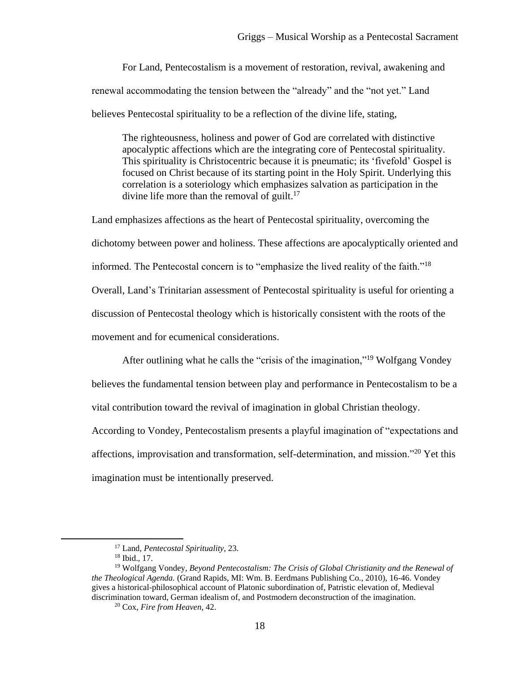For Land, Pentecostalism is a movement of restoration, revival, awakening and renewal accommodating the tension between the "already" and the "not yet." Land believes Pentecostal spirituality to be a reflection of the divine life, stating,

The righteousness, holiness and power of God are correlated with distinctive apocalyptic affections which are the integrating core of Pentecostal spirituality. This spirituality is Christocentric because it is pneumatic; its 'fivefold' Gospel is focused on Christ because of its starting point in the Holy Spirit. Underlying this correlation is a soteriology which emphasizes salvation as participation in the divine life more than the removal of guilt.<sup>17</sup>

Land emphasizes affections as the heart of Pentecostal spirituality, overcoming the dichotomy between power and holiness. These affections are apocalyptically oriented and informed. The Pentecostal concern is to "emphasize the lived reality of the faith."<sup>18</sup> Overall, Land's Trinitarian assessment of Pentecostal spirituality is useful for orienting a discussion of Pentecostal theology which is historically consistent with the roots of the movement and for ecumenical considerations.

After outlining what he calls the "crisis of the imagination,"<sup>19</sup> Wolfgang Vondey

believes the fundamental tension between play and performance in Pentecostalism to be a vital contribution toward the revival of imagination in global Christian theology.

According to Vondey, Pentecostalism presents a playful imagination of "expectations and affections, improvisation and transformation, self-determination, and mission."<sup>20</sup> Yet this imagination must be intentionally preserved.

<sup>17</sup> Land, *Pentecostal Spirituality*, 23.

 $18$  Ibid., 17.

<sup>19</sup> Wolfgang Vondey, *Beyond Pentecostalism: The Crisis of Global Christianity and the Renewal of the Theological Agenda.* (Grand Rapids, MI: Wm. B. Eerdmans Publishing Co., 2010), 16-46. Vondey gives a historical-philosophical account of Platonic subordination of, Patristic elevation of, Medieval discrimination toward, German idealism of, and Postmodern deconstruction of the imagination.

<sup>20</sup> Cox, *Fire from Heaven*, 42.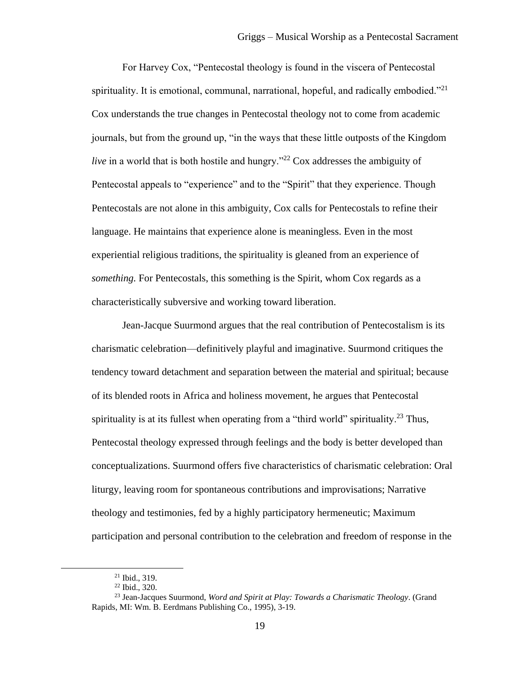For Harvey Cox, "Pentecostal theology is found in the viscera of Pentecostal spirituality. It is emotional, communal, narrational, hopeful, and radically embodied. $2^{21}$ Cox understands the true changes in Pentecostal theology not to come from academic journals, but from the ground up, "in the ways that these little outposts of the Kingdom *live* in a world that is both hostile and hungry."<sup>22</sup> Cox addresses the ambiguity of Pentecostal appeals to "experience" and to the "Spirit" that they experience. Though Pentecostals are not alone in this ambiguity, Cox calls for Pentecostals to refine their language. He maintains that experience alone is meaningless. Even in the most experiential religious traditions, the spirituality is gleaned from an experience of *something.* For Pentecostals, this something is the Spirit, whom Cox regards as a characteristically subversive and working toward liberation.

Jean-Jacque Suurmond argues that the real contribution of Pentecostalism is its charismatic celebration—definitively playful and imaginative. Suurmond critiques the tendency toward detachment and separation between the material and spiritual; because of its blended roots in Africa and holiness movement, he argues that Pentecostal spirituality is at its fullest when operating from a "third world" spirituality.<sup>23</sup> Thus, Pentecostal theology expressed through feelings and the body is better developed than conceptualizations. Suurmond offers five characteristics of charismatic celebration: Oral liturgy, leaving room for spontaneous contributions and improvisations; Narrative theology and testimonies, fed by a highly participatory hermeneutic; Maximum participation and personal contribution to the celebration and freedom of response in the

<sup>21</sup> Ibid., 319.

<sup>22</sup> Ibid., 320.

<sup>23</sup> Jean-Jacques Suurmond, *Word and Spirit at Play: Towards a Charismatic Theology*. (Grand Rapids, MI: Wm. B. Eerdmans Publishing Co., 1995), 3-19.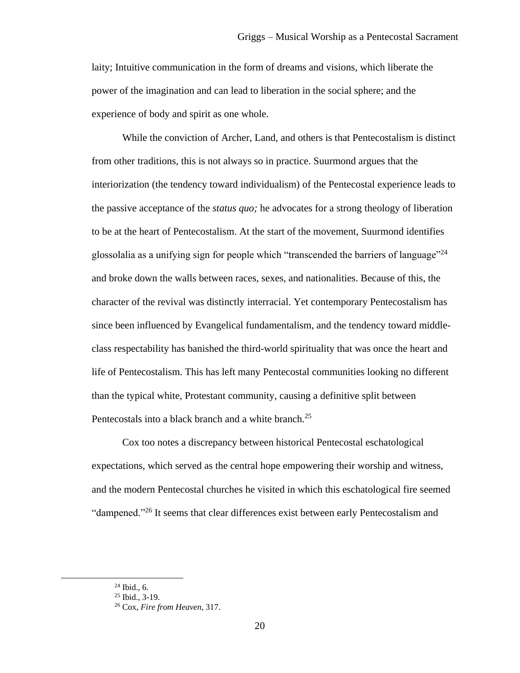laity; Intuitive communication in the form of dreams and visions, which liberate the power of the imagination and can lead to liberation in the social sphere; and the experience of body and spirit as one whole.

While the conviction of Archer, Land, and others is that Pentecostalism is distinct from other traditions, this is not always so in practice. Suurmond argues that the interiorization (the tendency toward individualism) of the Pentecostal experience leads to the passive acceptance of the *status quo;* he advocates for a strong theology of liberation to be at the heart of Pentecostalism. At the start of the movement, Suurmond identifies glossolalia as a unifying sign for people which "transcended the barriers of language"  $^{24}$ and broke down the walls between races, sexes, and nationalities. Because of this, the character of the revival was distinctly interracial. Yet contemporary Pentecostalism has since been influenced by Evangelical fundamentalism, and the tendency toward middleclass respectability has banished the third-world spirituality that was once the heart and life of Pentecostalism. This has left many Pentecostal communities looking no different than the typical white, Protestant community, causing a definitive split between Pentecostals into a black branch and a white branch.<sup>25</sup>

Cox too notes a discrepancy between historical Pentecostal eschatological expectations, which served as the central hope empowering their worship and witness, and the modern Pentecostal churches he visited in which this eschatological fire seemed "dampened."<sup>26</sup> It seems that clear differences exist between early Pentecostalism and

 $24$  Ibid., 6.

<sup>25</sup> Ibid., 3-19.

<sup>26</sup> Cox, *Fire from Heaven*, 317.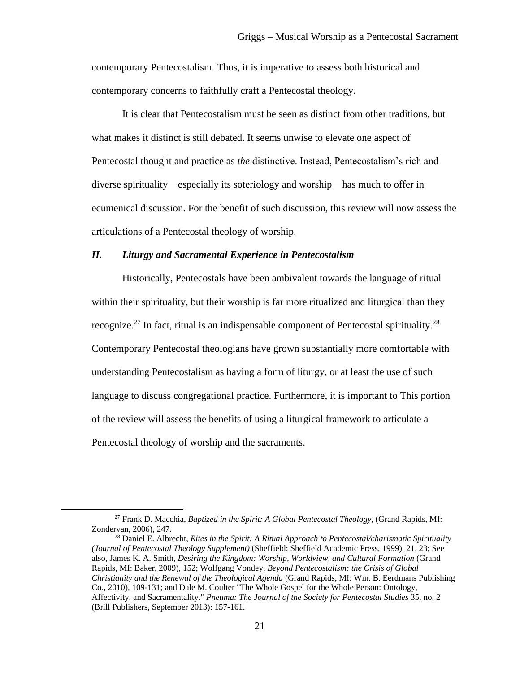contemporary Pentecostalism. Thus, it is imperative to assess both historical and contemporary concerns to faithfully craft a Pentecostal theology.

It is clear that Pentecostalism must be seen as distinct from other traditions, but what makes it distinct is still debated. It seems unwise to elevate one aspect of Pentecostal thought and practice as *the* distinctive. Instead, Pentecostalism's rich and diverse spirituality—especially its soteriology and worship—has much to offer in ecumenical discussion. For the benefit of such discussion, this review will now assess the articulations of a Pentecostal theology of worship.

#### <span id="page-21-0"></span>*II. Liturgy and Sacramental Experience in Pentecostalism*

Historically, Pentecostals have been ambivalent towards the language of ritual within their spirituality, but their worship is far more ritualized and liturgical than they recognize.<sup>27</sup> In fact, ritual is an indispensable component of Pentecostal spirituality.<sup>28</sup> Contemporary Pentecostal theologians have grown substantially more comfortable with understanding Pentecostalism as having a form of liturgy, or at least the use of such language to discuss congregational practice. Furthermore, it is important to This portion of the review will assess the benefits of using a liturgical framework to articulate a Pentecostal theology of worship and the sacraments.

<sup>27</sup> Frank D. Macchia, *Baptized in the Spirit: A Global Pentecostal Theology*, (Grand Rapids, MI: Zondervan, 2006), 247.

<sup>28</sup> Daniel E. Albrecht, *Rites in the Spirit: A Ritual Approach to Pentecostal/charismatic Spirituality (Journal of Pentecostal Theology Supplement)* (Sheffield: Sheffield Academic Press, 1999), 21, 23; See also, James K. A. Smith, *Desiring the Kingdom: Worship, Worldview, and Cultural Formation* (Grand Rapids, MI: Baker, 2009), 152; Wolfgang Vondey, *Beyond Pentecostalism: the Crisis of Global Christianity and the Renewal of the Theological Agenda* (Grand Rapids, MI: Wm. B. Eerdmans Publishing Co., 2010), 109-131; and Dale M. Coulter "The Whole Gospel for the Whole Person: Ontology, Affectivity, and Sacramentality." *Pneuma: The Journal of the Society for Pentecostal Studies* 35, no. 2 (Brill Publishers, September 2013): 157-161.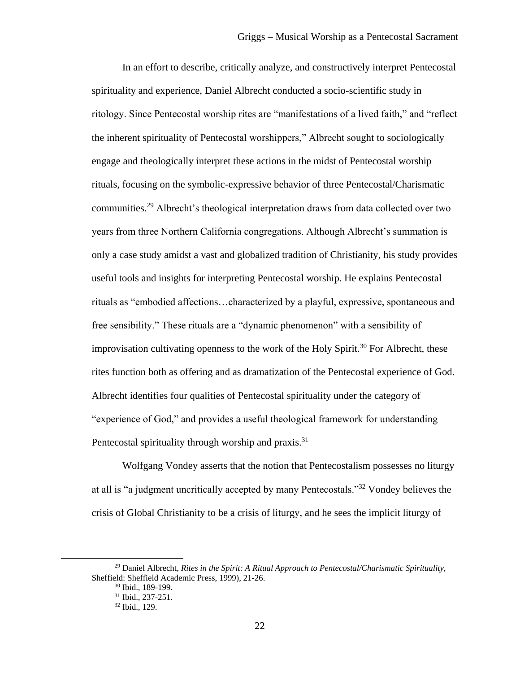In an effort to describe, critically analyze, and constructively interpret Pentecostal spirituality and experience, Daniel Albrecht conducted a socio-scientific study in ritology. Since Pentecostal worship rites are "manifestations of a lived faith," and "reflect the inherent spirituality of Pentecostal worshippers," Albrecht sought to sociologically engage and theologically interpret these actions in the midst of Pentecostal worship rituals, focusing on the symbolic-expressive behavior of three Pentecostal/Charismatic communities.<sup>29</sup> Albrecht's theological interpretation draws from data collected over two years from three Northern California congregations. Although Albrecht's summation is only a case study amidst a vast and globalized tradition of Christianity, his study provides useful tools and insights for interpreting Pentecostal worship. He explains Pentecostal rituals as "embodied affections…characterized by a playful, expressive, spontaneous and free sensibility." These rituals are a "dynamic phenomenon" with a sensibility of improvisation cultivating openness to the work of the Holy Spirit.<sup>30</sup> For Albrecht, these rites function both as offering and as dramatization of the Pentecostal experience of God. Albrecht identifies four qualities of Pentecostal spirituality under the category of "experience of God," and provides a useful theological framework for understanding Pentecostal spirituality through worship and praxis.<sup>31</sup>

Wolfgang Vondey asserts that the notion that Pentecostalism possesses no liturgy at all is "a judgment uncritically accepted by many Pentecostals."<sup>32</sup> Vondey believes the crisis of Global Christianity to be a crisis of liturgy, and he sees the implicit liturgy of

<sup>29</sup> Daniel Albrecht, *Rites in the Spirit: A Ritual Approach to Pentecostal/Charismatic Spirituality,* Sheffield: Sheffield Academic Press, 1999), 21-26.

<sup>30</sup> Ibid., 189-199.

<sup>31</sup> Ibid., 237-251.

<sup>32</sup> Ibid.*,* 129.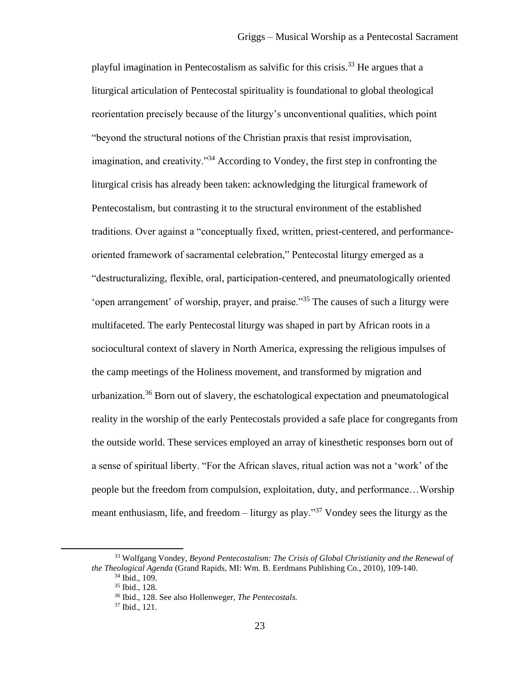playful imagination in Pentecostalism as salvific for this crisis.<sup>33</sup> He argues that a liturgical articulation of Pentecostal spirituality is foundational to global theological reorientation precisely because of the liturgy's unconventional qualities, which point "beyond the structural notions of the Christian praxis that resist improvisation, imagination, and creativity."<sup>34</sup> According to Vondey, the first step in confronting the liturgical crisis has already been taken: acknowledging the liturgical framework of Pentecostalism, but contrasting it to the structural environment of the established traditions. Over against a "conceptually fixed, written, priest-centered, and performanceoriented framework of sacramental celebration," Pentecostal liturgy emerged as a "destructuralizing, flexible, oral, participation-centered, and pneumatologically oriented 'open arrangement' of worship, prayer, and praise."<sup>35</sup> The causes of such a liturgy were multifaceted. The early Pentecostal liturgy was shaped in part by African roots in a sociocultural context of slavery in North America, expressing the religious impulses of the camp meetings of the Holiness movement, and transformed by migration and urbanization.<sup>36</sup> Born out of slavery, the eschatological expectation and pneumatological reality in the worship of the early Pentecostals provided a safe place for congregants from the outside world. These services employed an array of kinesthetic responses born out of a sense of spiritual liberty. "For the African slaves, ritual action was not a 'work' of the people but the freedom from compulsion, exploitation, duty, and performance…Worship meant enthusiasm, life, and freedom – liturgy as play."<sup>37</sup> Vondey sees the liturgy as the

<sup>33</sup> Wolfgang Vondey, *Beyond Pentecostalism: The Crisis of Global Christianity and the Renewal of the Theological Agenda* (Grand Rapids, MI: Wm. B. Eerdmans Publishing Co., 2010)*,* 109-140.

<sup>34</sup> Ibid., 109.

<sup>35</sup> Ibid., 128.

<sup>36</sup> Ibid., 128. See also Hollenweger, *The Pentecostals.*

<sup>37</sup> Ibid., 121.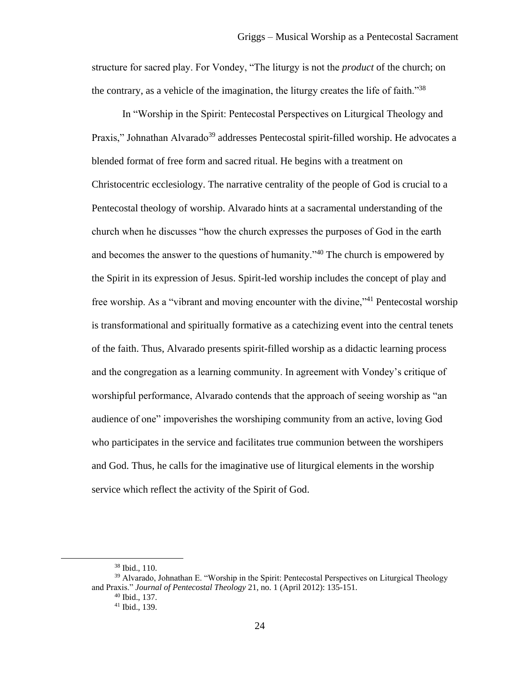structure for sacred play. For Vondey, "The liturgy is not the *product* of the church; on the contrary, as a vehicle of the imagination, the liturgy creates the life of faith.<sup>338</sup>

In "Worship in the Spirit: Pentecostal Perspectives on Liturgical Theology and Praxis," Johnathan Alvarado<sup>39</sup> addresses Pentecostal spirit-filled worship. He advocates a blended format of free form and sacred ritual. He begins with a treatment on Christocentric ecclesiology. The narrative centrality of the people of God is crucial to a Pentecostal theology of worship. Alvarado hints at a sacramental understanding of the church when he discusses "how the church expresses the purposes of God in the earth and becomes the answer to the questions of humanity."<sup>40</sup> The church is empowered by the Spirit in its expression of Jesus. Spirit-led worship includes the concept of play and free worship. As a "vibrant and moving encounter with the divine,"<sup>41</sup> Pentecostal worship is transformational and spiritually formative as a catechizing event into the central tenets of the faith. Thus, Alvarado presents spirit-filled worship as a didactic learning process and the congregation as a learning community. In agreement with Vondey's critique of worshipful performance, Alvarado contends that the approach of seeing worship as "an audience of one" impoverishes the worshiping community from an active, loving God who participates in the service and facilitates true communion between the worshipers and God. Thus, he calls for the imaginative use of liturgical elements in the worship service which reflect the activity of the Spirit of God.

<sup>38</sup> Ibid., 110.

<sup>&</sup>lt;sup>39</sup> Alvarado, Johnathan E. "Worship in the Spirit: Pentecostal Perspectives on Liturgical Theology and Praxis." *Journal of Pentecostal Theology* 21, no. 1 (April 2012): 135-151. <sup>40</sup> Ibid., 137.

<sup>41</sup> Ibid., 139.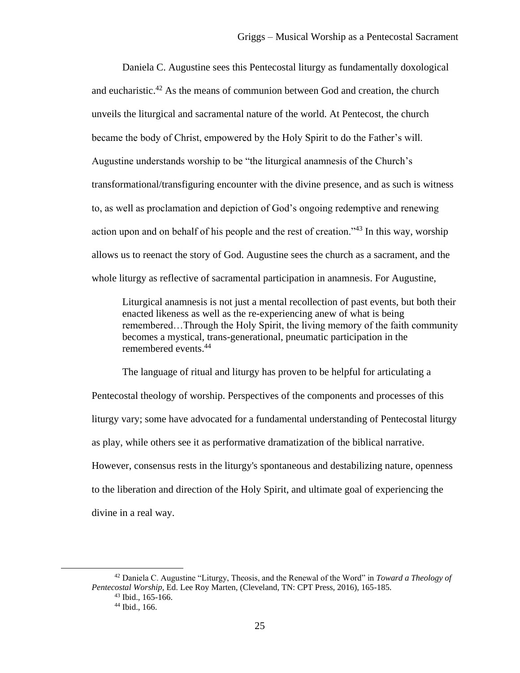Daniela C. Augustine sees this Pentecostal liturgy as fundamentally doxological and eucharistic.<sup>42</sup> As the means of communion between God and creation, the church unveils the liturgical and sacramental nature of the world. At Pentecost, the church became the body of Christ, empowered by the Holy Spirit to do the Father's will. Augustine understands worship to be "the liturgical anamnesis of the Church's transformational/transfiguring encounter with the divine presence, and as such is witness to, as well as proclamation and depiction of God's ongoing redemptive and renewing action upon and on behalf of his people and the rest of creation."<sup>43</sup> In this way, worship allows us to reenact the story of God. Augustine sees the church as a sacrament, and the whole liturgy as reflective of sacramental participation in anamnesis. For Augustine,

Liturgical anamnesis is not just a mental recollection of past events, but both their enacted likeness as well as the re-experiencing anew of what is being remembered…Through the Holy Spirit, the living memory of the faith community becomes a mystical, trans-generational, pneumatic participation in the remembered events.<sup>44</sup>

The language of ritual and liturgy has proven to be helpful for articulating a Pentecostal theology of worship. Perspectives of the components and processes of this liturgy vary; some have advocated for a fundamental understanding of Pentecostal liturgy as play, while others see it as performative dramatization of the biblical narrative. However, consensus rests in the liturgy's spontaneous and destabilizing nature, openness to the liberation and direction of the Holy Spirit, and ultimate goal of experiencing the divine in a real way.

<sup>42</sup> Daniela C. Augustine "Liturgy, Theosis, and the Renewal of the Word" in *Toward a Theology of Pentecostal Worship,* Ed. Lee Roy Marten, (Cleveland, TN: CPT Press, 2016), 165-185.

<sup>43</sup> Ibid., 165-166.

<sup>44</sup> Ibid., 166.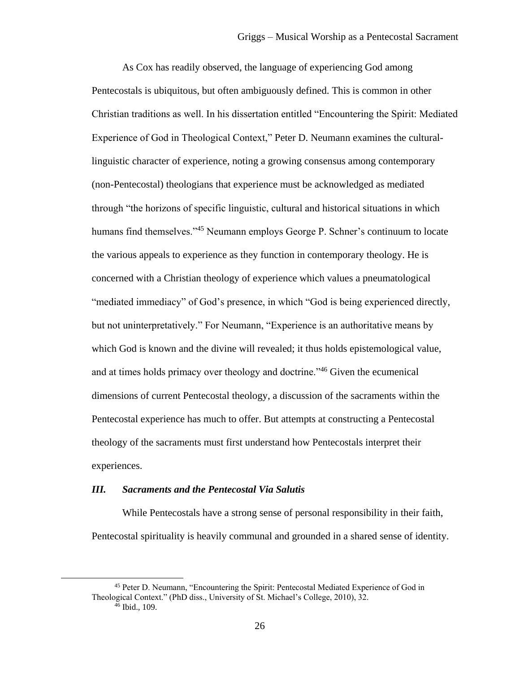As Cox has readily observed, the language of experiencing God among Pentecostals is ubiquitous, but often ambiguously defined. This is common in other Christian traditions as well. In his dissertation entitled "Encountering the Spirit: Mediated Experience of God in Theological Context," Peter D. Neumann examines the culturallinguistic character of experience, noting a growing consensus among contemporary (non-Pentecostal) theologians that experience must be acknowledged as mediated through "the horizons of specific linguistic, cultural and historical situations in which humans find themselves."<sup>45</sup> Neumann employs George P. Schner's continuum to locate the various appeals to experience as they function in contemporary theology. He is concerned with a Christian theology of experience which values a pneumatological "mediated immediacy" of God's presence, in which "God is being experienced directly, but not uninterpretatively." For Neumann, "Experience is an authoritative means by which God is known and the divine will revealed; it thus holds epistemological value, and at times holds primacy over theology and doctrine."<sup>46</sup> Given the ecumenical dimensions of current Pentecostal theology, a discussion of the sacraments within the Pentecostal experience has much to offer. But attempts at constructing a Pentecostal theology of the sacraments must first understand how Pentecostals interpret their experiences.

#### <span id="page-26-0"></span>*III. Sacraments and the Pentecostal Via Salutis*

While Pentecostals have a strong sense of personal responsibility in their faith, Pentecostal spirituality is heavily communal and grounded in a shared sense of identity.

<sup>45</sup> Peter D. Neumann, "Encountering the Spirit: Pentecostal Mediated Experience of God in Theological Context." (PhD diss., University of St. Michael's College, 2010), 32.

 $46$  Ibid., 109.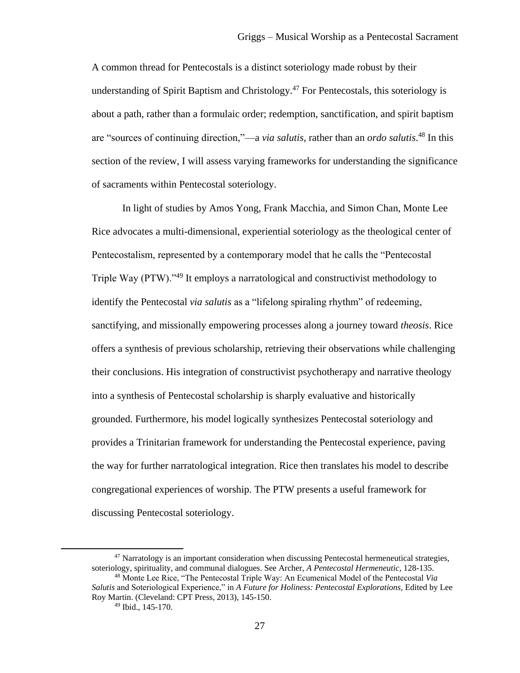A common thread for Pentecostals is a distinct soteriology made robust by their understanding of Spirit Baptism and Christology.<sup>47</sup> For Pentecostals, this soteriology is about a path, rather than a formulaic order; redemption, sanctification, and spirit baptism are "sources of continuing direction,"—a *via salutis,* rather than an *ordo salutis*. <sup>48</sup> In this section of the review, I will assess varying frameworks for understanding the significance of sacraments within Pentecostal soteriology.

In light of studies by Amos Yong, Frank Macchia, and Simon Chan, Monte Lee Rice advocates a multi-dimensional, experiential soteriology as the theological center of Pentecostalism, represented by a contemporary model that he calls the "Pentecostal Triple Way (PTW)."<sup>49</sup> It employs a narratological and constructivist methodology to identify the Pentecostal *via salutis* as a "lifelong spiraling rhythm" of redeeming, sanctifying, and missionally empowering processes along a journey toward *theosis*. Rice offers a synthesis of previous scholarship, retrieving their observations while challenging their conclusions. His integration of constructivist psychotherapy and narrative theology into a synthesis of Pentecostal scholarship is sharply evaluative and historically grounded. Furthermore, his model logically synthesizes Pentecostal soteriology and provides a Trinitarian framework for understanding the Pentecostal experience, paving the way for further narratological integration. Rice then translates his model to describe congregational experiences of worship. The PTW presents a useful framework for discussing Pentecostal soteriology.

 $47$  Narratology is an important consideration when discussing Pentecostal hermeneutical strategies, soteriology, spirituality, and communal dialogues. See Archer, *A Pentecostal Hermeneutic,* 128-135. <sup>48</sup> Monte Lee Rice, "The Pentecostal Triple Way: An Ecumenical Model of the Pentecostal *Via* 

*Salutis* and Soteriological Experience," in *A Future for Holiness: Pentecostal Explorations,* Edited by Lee Roy Martin. (Cleveland: CPT Press, 2013), 145-150.

<sup>49</sup> Ibid., 145-170.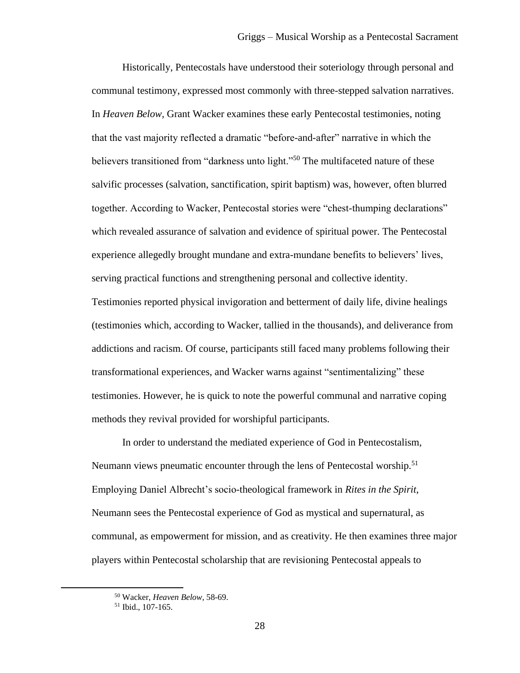Historically, Pentecostals have understood their soteriology through personal and communal testimony, expressed most commonly with three-stepped salvation narratives. In *Heaven Below,* Grant Wacker examines these early Pentecostal testimonies, noting that the vast majority reflected a dramatic "before-and-after" narrative in which the believers transitioned from "darkness unto light."<sup>50</sup> The multifaceted nature of these salvific processes (salvation, sanctification, spirit baptism) was, however, often blurred together. According to Wacker, Pentecostal stories were "chest-thumping declarations" which revealed assurance of salvation and evidence of spiritual power. The Pentecostal experience allegedly brought mundane and extra-mundane benefits to believers' lives, serving practical functions and strengthening personal and collective identity. Testimonies reported physical invigoration and betterment of daily life, divine healings (testimonies which, according to Wacker, tallied in the thousands), and deliverance from addictions and racism. Of course, participants still faced many problems following their transformational experiences, and Wacker warns against "sentimentalizing" these testimonies. However, he is quick to note the powerful communal and narrative coping methods they revival provided for worshipful participants.

In order to understand the mediated experience of God in Pentecostalism, Neumann views pneumatic encounter through the lens of Pentecostal worship.<sup>51</sup> Employing Daniel Albrecht's socio-theological framework in *Rites in the Spirit*, Neumann sees the Pentecostal experience of God as mystical and supernatural, as communal, as empowerment for mission, and as creativity. He then examines three major players within Pentecostal scholarship that are revisioning Pentecostal appeals to

<sup>50</sup> Wacker, *Heaven Below,* 58-69.

<sup>51</sup> Ibid., 107-165.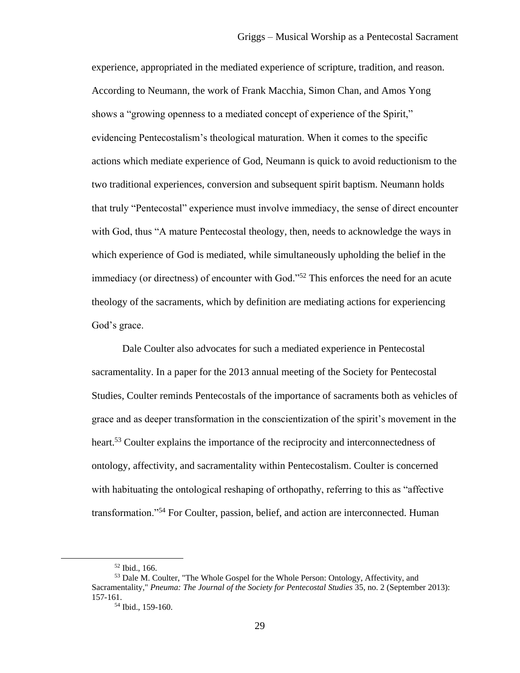experience, appropriated in the mediated experience of scripture, tradition, and reason. According to Neumann, the work of Frank Macchia, Simon Chan, and Amos Yong shows a "growing openness to a mediated concept of experience of the Spirit," evidencing Pentecostalism's theological maturation. When it comes to the specific actions which mediate experience of God, Neumann is quick to avoid reductionism to the two traditional experiences, conversion and subsequent spirit baptism. Neumann holds that truly "Pentecostal" experience must involve immediacy, the sense of direct encounter with God, thus "A mature Pentecostal theology, then, needs to acknowledge the ways in which experience of God is mediated, while simultaneously upholding the belief in the immediacy (or directness) of encounter with God."<sup>52</sup> This enforces the need for an acute theology of the sacraments, which by definition are mediating actions for experiencing God's grace.

Dale Coulter also advocates for such a mediated experience in Pentecostal sacramentality. In a paper for the 2013 annual meeting of the Society for Pentecostal Studies, Coulter reminds Pentecostals of the importance of sacraments both as vehicles of grace and as deeper transformation in the conscientization of the spirit's movement in the heart.<sup>53</sup> Coulter explains the importance of the reciprocity and interconnectedness of ontology, affectivity, and sacramentality within Pentecostalism. Coulter is concerned with habituating the ontological reshaping of orthopathy, referring to this as "affective transformation."<sup>54</sup> For Coulter, passion, belief, and action are interconnected. Human

<sup>52</sup> Ibid., 166.

<sup>53</sup> Dale M. Coulter, "The Whole Gospel for the Whole Person: Ontology, Affectivity, and Sacramentality," *Pneuma: The Journal of the Society for Pentecostal Studies* 35, no. 2 (September 2013): 157-161.

<sup>54</sup> Ibid., 159-160.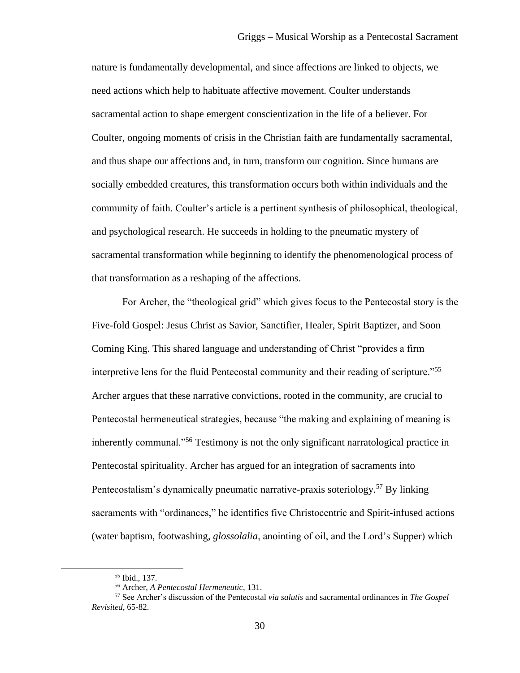nature is fundamentally developmental, and since affections are linked to objects, we need actions which help to habituate affective movement. Coulter understands sacramental action to shape emergent conscientization in the life of a believer. For Coulter, ongoing moments of crisis in the Christian faith are fundamentally sacramental, and thus shape our affections and, in turn, transform our cognition. Since humans are socially embedded creatures, this transformation occurs both within individuals and the community of faith. Coulter's article is a pertinent synthesis of philosophical, theological, and psychological research. He succeeds in holding to the pneumatic mystery of sacramental transformation while beginning to identify the phenomenological process of that transformation as a reshaping of the affections.

For Archer, the "theological grid" which gives focus to the Pentecostal story is the Five-fold Gospel: Jesus Christ as Savior, Sanctifier, Healer, Spirit Baptizer, and Soon Coming King. This shared language and understanding of Christ "provides a firm interpretive lens for the fluid Pentecostal community and their reading of scripture."<sup>55</sup> Archer argues that these narrative convictions, rooted in the community, are crucial to Pentecostal hermeneutical strategies, because "the making and explaining of meaning is inherently communal."<sup>56</sup> Testimony is not the only significant narratological practice in Pentecostal spirituality. Archer has argued for an integration of sacraments into Pentecostalism's dynamically pneumatic narrative-praxis soteriology*.* <sup>57</sup> By linking sacraments with "ordinances," he identifies five Christocentric and Spirit-infused actions (water baptism, footwashing, *glossolalia*, anointing of oil, and the Lord's Supper) which

<sup>55</sup> Ibid., 137.

<sup>56</sup> Archer, *A Pentecostal Hermeneutic*, 131.

<sup>57</sup> See Archer's discussion of the Pentecostal *via salutis* and sacramental ordinances in *The Gospel Revisited,* 65-82.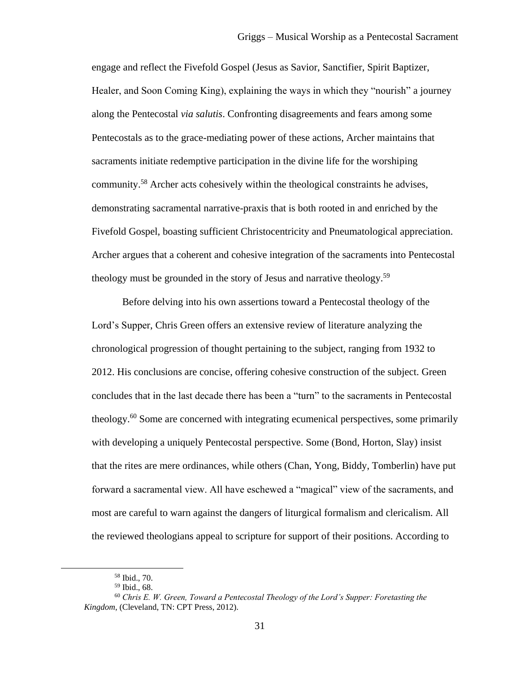engage and reflect the Fivefold Gospel (Jesus as Savior, Sanctifier, Spirit Baptizer, Healer, and Soon Coming King), explaining the ways in which they "nourish" a journey along the Pentecostal *via salutis*. Confronting disagreements and fears among some Pentecostals as to the grace-mediating power of these actions, Archer maintains that sacraments initiate redemptive participation in the divine life for the worshiping community.<sup>58</sup> Archer acts cohesively within the theological constraints he advises, demonstrating sacramental narrative-praxis that is both rooted in and enriched by the Fivefold Gospel, boasting sufficient Christocentricity and Pneumatological appreciation. Archer argues that a coherent and cohesive integration of the sacraments into Pentecostal theology must be grounded in the story of Jesus and narrative theology.<sup>59</sup>

Before delving into his own assertions toward a Pentecostal theology of the Lord's Supper, Chris Green offers an extensive review of literature analyzing the chronological progression of thought pertaining to the subject, ranging from 1932 to 2012. His conclusions are concise, offering cohesive construction of the subject. Green concludes that in the last decade there has been a "turn" to the sacraments in Pentecostal theology.<sup>60</sup> Some are concerned with integrating ecumenical perspectives, some primarily with developing a uniquely Pentecostal perspective. Some (Bond, Horton, Slay) insist that the rites are mere ordinances, while others (Chan, Yong, Biddy, Tomberlin) have put forward a sacramental view. All have eschewed a "magical" view of the sacraments, and most are careful to warn against the dangers of liturgical formalism and clericalism. All the reviewed theologians appeal to scripture for support of their positions. According to

<sup>58</sup> Ibid., 70.

<sup>59</sup> Ibid., 68.

<sup>60</sup> *Chris E. W. Green, Toward a Pentecostal Theology of the Lord's Supper: Foretasting the Kingdom*, (Cleveland, TN: CPT Press, 2012).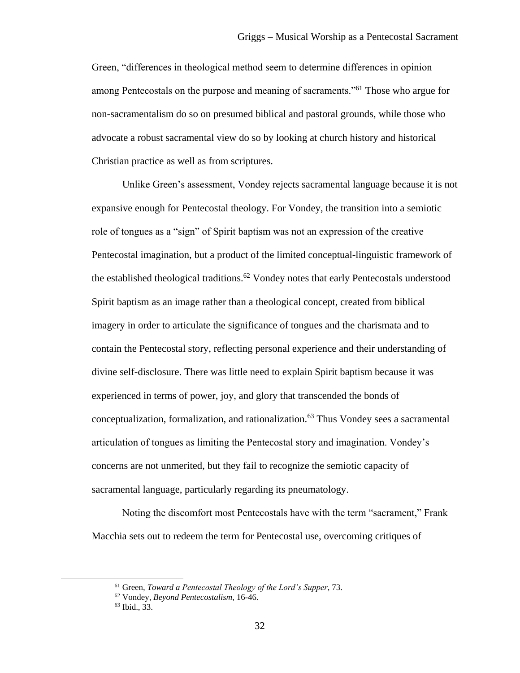Green, "differences in theological method seem to determine differences in opinion among Pentecostals on the purpose and meaning of sacraments."<sup>61</sup> Those who argue for non-sacramentalism do so on presumed biblical and pastoral grounds, while those who advocate a robust sacramental view do so by looking at church history and historical Christian practice as well as from scriptures.

Unlike Green's assessment, Vondey rejects sacramental language because it is not expansive enough for Pentecostal theology. For Vondey, the transition into a semiotic role of tongues as a "sign" of Spirit baptism was not an expression of the creative Pentecostal imagination, but a product of the limited conceptual-linguistic framework of the established theological traditions.<sup>62</sup> Vondey notes that early Pentecostals understood Spirit baptism as an image rather than a theological concept, created from biblical imagery in order to articulate the significance of tongues and the charismata and to contain the Pentecostal story, reflecting personal experience and their understanding of divine self-disclosure. There was little need to explain Spirit baptism because it was experienced in terms of power, joy, and glory that transcended the bonds of conceptualization, formalization, and rationalization.<sup>63</sup> Thus Vondey sees a sacramental articulation of tongues as limiting the Pentecostal story and imagination. Vondey's concerns are not unmerited, but they fail to recognize the semiotic capacity of sacramental language, particularly regarding its pneumatology.

Noting the discomfort most Pentecostals have with the term "sacrament," Frank Macchia sets out to redeem the term for Pentecostal use, overcoming critiques of

<sup>61</sup> Green, *Toward a Pentecostal Theology of the Lord's Supper*, 73.

<sup>62</sup> Vondey, *Beyond Pentecostalism*, 16-46.

<sup>63</sup> Ibid., 33.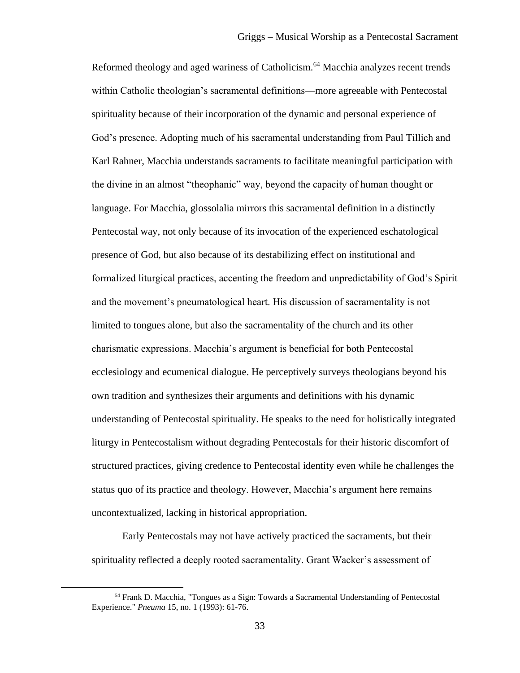Reformed theology and aged wariness of Catholicism.<sup>64</sup> Macchia analyzes recent trends within Catholic theologian's sacramental definitions—more agreeable with Pentecostal spirituality because of their incorporation of the dynamic and personal experience of God's presence. Adopting much of his sacramental understanding from Paul Tillich and Karl Rahner, Macchia understands sacraments to facilitate meaningful participation with the divine in an almost "theophanic" way, beyond the capacity of human thought or language. For Macchia, glossolalia mirrors this sacramental definition in a distinctly Pentecostal way, not only because of its invocation of the experienced eschatological presence of God, but also because of its destabilizing effect on institutional and formalized liturgical practices, accenting the freedom and unpredictability of God's Spirit and the movement's pneumatological heart. His discussion of sacramentality is not limited to tongues alone, but also the sacramentality of the church and its other charismatic expressions. Macchia's argument is beneficial for both Pentecostal ecclesiology and ecumenical dialogue. He perceptively surveys theologians beyond his own tradition and synthesizes their arguments and definitions with his dynamic understanding of Pentecostal spirituality. He speaks to the need for holistically integrated liturgy in Pentecostalism without degrading Pentecostals for their historic discomfort of structured practices, giving credence to Pentecostal identity even while he challenges the status quo of its practice and theology. However, Macchia's argument here remains uncontextualized, lacking in historical appropriation.

Early Pentecostals may not have actively practiced the sacraments, but their spirituality reflected a deeply rooted sacramentality. Grant Wacker's assessment of

<sup>64</sup> Frank D. Macchia, "Tongues as a Sign: Towards a Sacramental Understanding of Pentecostal Experience." *Pneuma* 15, no. 1 (1993): 61-76.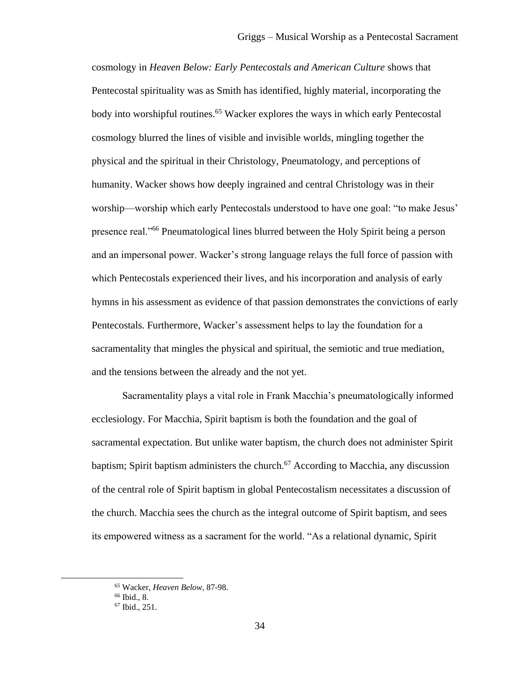cosmology in *Heaven Below: Early Pentecostals and American Culture* shows that Pentecostal spirituality was as Smith has identified, highly material, incorporating the body into worshipful routines.<sup>65</sup> Wacker explores the ways in which early Pentecostal cosmology blurred the lines of visible and invisible worlds, mingling together the physical and the spiritual in their Christology, Pneumatology, and perceptions of humanity. Wacker shows how deeply ingrained and central Christology was in their worship—worship which early Pentecostals understood to have one goal: "to make Jesus' presence real."<sup>66</sup> Pneumatological lines blurred between the Holy Spirit being a person and an impersonal power. Wacker's strong language relays the full force of passion with which Pentecostals experienced their lives, and his incorporation and analysis of early hymns in his assessment as evidence of that passion demonstrates the convictions of early Pentecostals. Furthermore, Wacker's assessment helps to lay the foundation for a sacramentality that mingles the physical and spiritual, the semiotic and true mediation, and the tensions between the already and the not yet.

Sacramentality plays a vital role in Frank Macchia's pneumatologically informed ecclesiology. For Macchia, Spirit baptism is both the foundation and the goal of sacramental expectation. But unlike water baptism, the church does not administer Spirit baptism; Spirit baptism administers the church.<sup>67</sup> According to Macchia, any discussion of the central role of Spirit baptism in global Pentecostalism necessitates a discussion of the church. Macchia sees the church as the integral outcome of Spirit baptism, and sees its empowered witness as a sacrament for the world. "As a relational dynamic, Spirit

<sup>65</sup> Wacker, *Heaven Below*, 87-98.

<sup>66</sup> Ibid.*,* 8.

<sup>67</sup> Ibid., 251.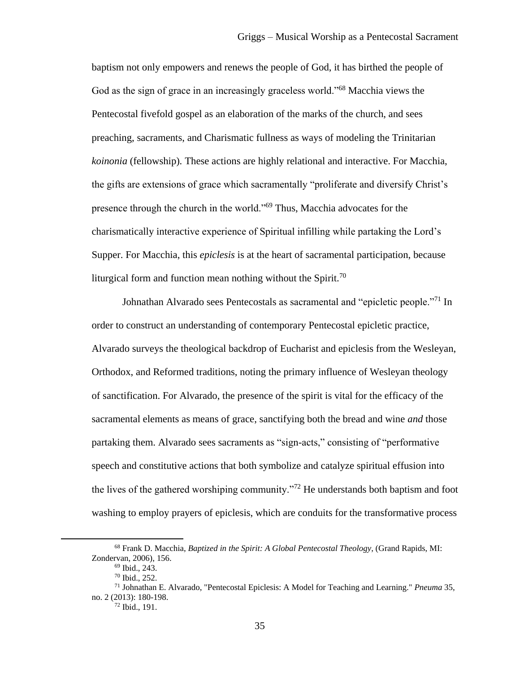baptism not only empowers and renews the people of God, it has birthed the people of God as the sign of grace in an increasingly graceless world."<sup>68</sup> Macchia views the Pentecostal fivefold gospel as an elaboration of the marks of the church, and sees preaching, sacraments, and Charismatic fullness as ways of modeling the Trinitarian *koinonia* (fellowship)*.* These actions are highly relational and interactive. For Macchia, the gifts are extensions of grace which sacramentally "proliferate and diversify Christ's presence through the church in the world."<sup>69</sup> Thus, Macchia advocates for the charismatically interactive experience of Spiritual infilling while partaking the Lord's Supper. For Macchia, this *epiclesis* is at the heart of sacramental participation, because liturgical form and function mean nothing without the Spirit.<sup>70</sup>

Johnathan Alvarado sees Pentecostals as sacramental and "epicletic people."<sup>71</sup> In order to construct an understanding of contemporary Pentecostal epicletic practice, Alvarado surveys the theological backdrop of Eucharist and epiclesis from the Wesleyan, Orthodox, and Reformed traditions, noting the primary influence of Wesleyan theology of sanctification. For Alvarado, the presence of the spirit is vital for the efficacy of the sacramental elements as means of grace, sanctifying both the bread and wine *and* those partaking them. Alvarado sees sacraments as "sign-acts," consisting of "performative speech and constitutive actions that both symbolize and catalyze spiritual effusion into the lives of the gathered worshiping community."<sup>72</sup> He understands both baptism and foot washing to employ prayers of epiclesis, which are conduits for the transformative process

<sup>68</sup> Frank D. Macchia, *Baptized in the Spirit: A Global Pentecostal Theology*, (Grand Rapids, MI: Zondervan, 2006), 156.

<sup>69</sup> Ibid., 243.

<sup>70</sup> Ibid., 252.

<sup>71</sup> Johnathan E. Alvarado, "Pentecostal Epiclesis: A Model for Teaching and Learning." *Pneuma* 35, no. 2 (2013): 180-198.

<sup>72</sup> Ibid., 191.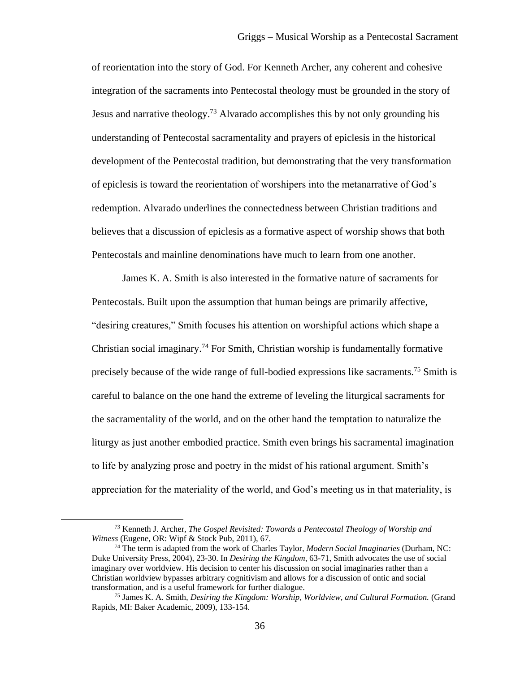of reorientation into the story of God. For Kenneth Archer, any coherent and cohesive integration of the sacraments into Pentecostal theology must be grounded in the story of Jesus and narrative theology.<sup>73</sup> Alvarado accomplishes this by not only grounding his understanding of Pentecostal sacramentality and prayers of epiclesis in the historical development of the Pentecostal tradition, but demonstrating that the very transformation of epiclesis is toward the reorientation of worshipers into the metanarrative of God's redemption. Alvarado underlines the connectedness between Christian traditions and believes that a discussion of epiclesis as a formative aspect of worship shows that both Pentecostals and mainline denominations have much to learn from one another.

James K. A. Smith is also interested in the formative nature of sacraments for Pentecostals. Built upon the assumption that human beings are primarily affective, "desiring creatures," Smith focuses his attention on worshipful actions which shape a Christian social imaginary.<sup>74</sup> For Smith, Christian worship is fundamentally formative precisely because of the wide range of full-bodied expressions like sacraments.<sup>75</sup> Smith is careful to balance on the one hand the extreme of leveling the liturgical sacraments for the sacramentality of the world, and on the other hand the temptation to naturalize the liturgy as just another embodied practice. Smith even brings his sacramental imagination to life by analyzing prose and poetry in the midst of his rational argument. Smith's appreciation for the materiality of the world, and God's meeting us in that materiality, is

<sup>73</sup> Kenneth J. Archer, *The Gospel Revisited: Towards a Pentecostal Theology of Worship and Witness* (Eugene, OR: Wipf & Stock Pub, 2011), 67.

<sup>74</sup> The term is adapted from the work of Charles Taylor, *Modern Social Imaginaries* (Durham, NC: Duke University Press, 2004), 23-30. In *Desiring the Kingdom*, 63-71, Smith advocates the use of social imaginary over worldview. His decision to center his discussion on social imaginaries rather than a Christian worldview bypasses arbitrary cognitivism and allows for a discussion of ontic and social transformation, and is a useful framework for further dialogue.

<sup>75</sup> James K. A. Smith, *Desiring the Kingdom: Worship, Worldview, and Cultural Formation.* (Grand Rapids, MI: Baker Academic, 2009), 133-154.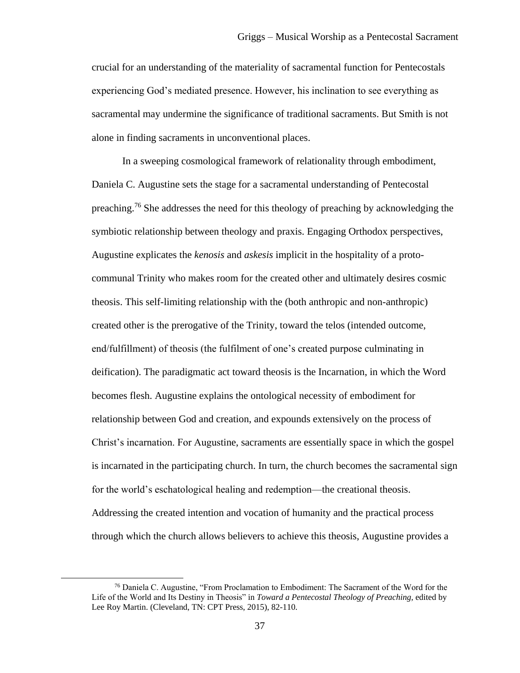crucial for an understanding of the materiality of sacramental function for Pentecostals experiencing God's mediated presence. However, his inclination to see everything as sacramental may undermine the significance of traditional sacraments. But Smith is not alone in finding sacraments in unconventional places.

In a sweeping cosmological framework of relationality through embodiment, Daniela C. Augustine sets the stage for a sacramental understanding of Pentecostal preaching.<sup>76</sup> She addresses the need for this theology of preaching by acknowledging the symbiotic relationship between theology and praxis. Engaging Orthodox perspectives, Augustine explicates the *kenosis* and *askesis* implicit in the hospitality of a protocommunal Trinity who makes room for the created other and ultimately desires cosmic theosis. This self-limiting relationship with the (both anthropic and non-anthropic) created other is the prerogative of the Trinity, toward the telos (intended outcome, end/fulfillment) of theosis (the fulfilment of one's created purpose culminating in deification). The paradigmatic act toward theosis is the Incarnation, in which the Word becomes flesh. Augustine explains the ontological necessity of embodiment for relationship between God and creation, and expounds extensively on the process of Christ's incarnation. For Augustine, sacraments are essentially space in which the gospel is incarnated in the participating church. In turn, the church becomes the sacramental sign for the world's eschatological healing and redemption—the creational theosis. Addressing the created intention and vocation of humanity and the practical process through which the church allows believers to achieve this theosis, Augustine provides a

<sup>76</sup> Daniela C. Augustine, "From Proclamation to Embodiment: The Sacrament of the Word for the Life of the World and Its Destiny in Theosis" in *Toward a Pentecostal Theology of Preaching,* edited by Lee Roy Martin. (Cleveland, TN: CPT Press, 2015), 82-110.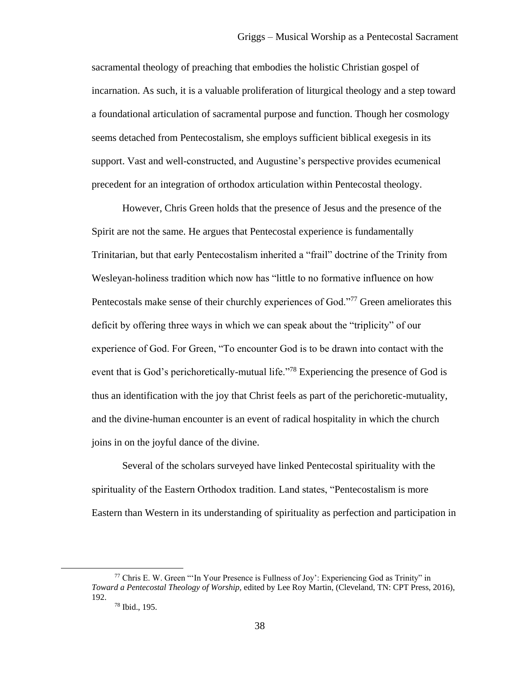sacramental theology of preaching that embodies the holistic Christian gospel of incarnation. As such, it is a valuable proliferation of liturgical theology and a step toward a foundational articulation of sacramental purpose and function. Though her cosmology seems detached from Pentecostalism, she employs sufficient biblical exegesis in its support. Vast and well-constructed, and Augustine's perspective provides ecumenical precedent for an integration of orthodox articulation within Pentecostal theology.

However, Chris Green holds that the presence of Jesus and the presence of the Spirit are not the same. He argues that Pentecostal experience is fundamentally Trinitarian, but that early Pentecostalism inherited a "frail" doctrine of the Trinity from Wesleyan-holiness tradition which now has "little to no formative influence on how Pentecostals make sense of their churchly experiences of God."<sup>77</sup> Green ameliorates this deficit by offering three ways in which we can speak about the "triplicity" of our experience of God. For Green, "To encounter God is to be drawn into contact with the event that is God's perichoretically-mutual life."<sup>78</sup> Experiencing the presence of God is thus an identification with the joy that Christ feels as part of the perichoretic-mutuality, and the divine-human encounter is an event of radical hospitality in which the church joins in on the joyful dance of the divine.

Several of the scholars surveyed have linked Pentecostal spirituality with the spirituality of the Eastern Orthodox tradition. Land states, "Pentecostalism is more Eastern than Western in its understanding of spirituality as perfection and participation in

<sup>77</sup> Chris E. W. Green "'In Your Presence is Fullness of Joy': Experiencing God as Trinity" in *Toward a Pentecostal Theology of Worship,* edited by Lee Roy Martin, (Cleveland, TN: CPT Press, 2016), 192.

<sup>78</sup> Ibid., 195.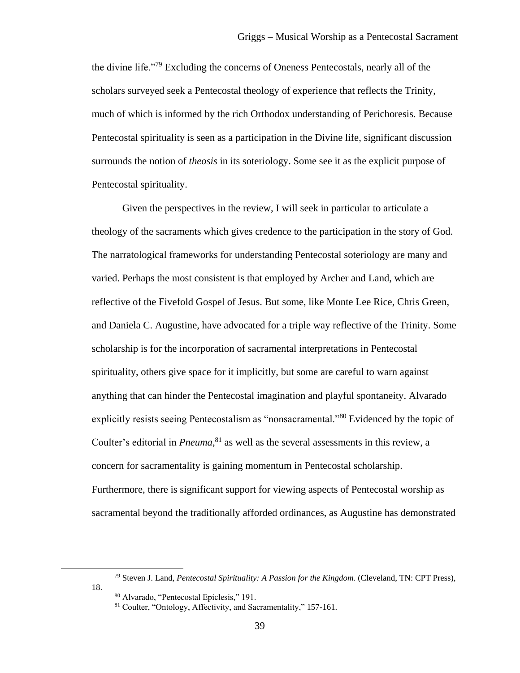the divine life."<sup>79</sup> Excluding the concerns of Oneness Pentecostals, nearly all of the scholars surveyed seek a Pentecostal theology of experience that reflects the Trinity, much of which is informed by the rich Orthodox understanding of Perichoresis. Because Pentecostal spirituality is seen as a participation in the Divine life, significant discussion surrounds the notion of *theosis* in its soteriology. Some see it as the explicit purpose of Pentecostal spirituality.

Given the perspectives in the review, I will seek in particular to articulate a theology of the sacraments which gives credence to the participation in the story of God. The narratological frameworks for understanding Pentecostal soteriology are many and varied. Perhaps the most consistent is that employed by Archer and Land, which are reflective of the Fivefold Gospel of Jesus. But some, like Monte Lee Rice, Chris Green, and Daniela C. Augustine, have advocated for a triple way reflective of the Trinity. Some scholarship is for the incorporation of sacramental interpretations in Pentecostal spirituality, others give space for it implicitly, but some are careful to warn against anything that can hinder the Pentecostal imagination and playful spontaneity. Alvarado explicitly resists seeing Pentecostalism as "nonsacramental."<sup>80</sup> Evidenced by the topic of Coulter's editorial in *Pneuma*, <sup>81</sup> as well as the several assessments in this review, a concern for sacramentality is gaining momentum in Pentecostal scholarship. Furthermore, there is significant support for viewing aspects of Pentecostal worship as sacramental beyond the traditionally afforded ordinances, as Augustine has demonstrated

 $\overline{\phantom{a}}$ 

18.

<sup>79</sup> Steven J. Land, *Pentecostal Spirituality: A Passion for the Kingdom.* (Cleveland, TN: CPT Press),

<sup>80</sup> Alvarado, "Pentecostal Epiclesis," 191.

<sup>81</sup> Coulter, "Ontology, Affectivity, and Sacramentality," 157-161.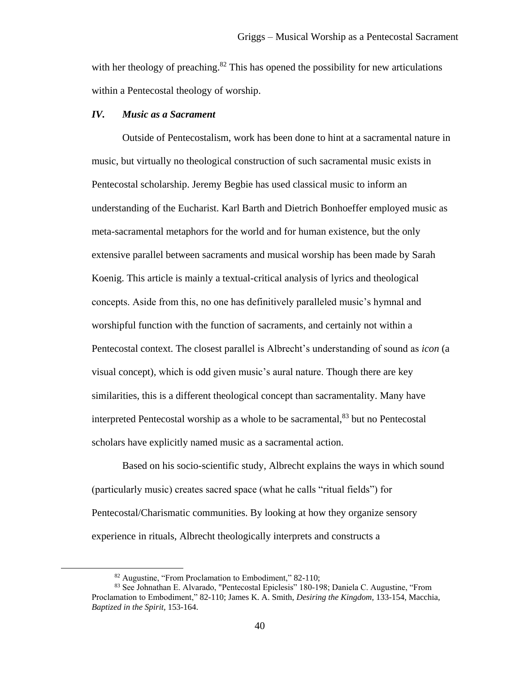with her theology of preaching.<sup>82</sup> This has opened the possibility for new articulations within a Pentecostal theology of worship.

#### *IV. Music as a Sacrament*

Outside of Pentecostalism, work has been done to hint at a sacramental nature in music, but virtually no theological construction of such sacramental music exists in Pentecostal scholarship. Jeremy Begbie has used classical music to inform an understanding of the Eucharist. Karl Barth and Dietrich Bonhoeffer employed music as meta-sacramental metaphors for the world and for human existence, but the only extensive parallel between sacraments and musical worship has been made by Sarah Koenig. This article is mainly a textual-critical analysis of lyrics and theological concepts. Aside from this, no one has definitively paralleled music's hymnal and worshipful function with the function of sacraments, and certainly not within a Pentecostal context. The closest parallel is Albrecht's understanding of sound as *icon* (a visual concept)*,* which is odd given music's aural nature. Though there are key similarities, this is a different theological concept than sacramentality. Many have interpreted Pentecostal worship as a whole to be sacramental, $83$  but no Pentecostal scholars have explicitly named music as a sacramental action.

Based on his socio-scientific study, Albrecht explains the ways in which sound (particularly music) creates sacred space (what he calls "ritual fields") for Pentecostal/Charismatic communities. By looking at how they organize sensory experience in rituals, Albrecht theologically interprets and constructs a

<sup>82</sup> Augustine, "From Proclamation to Embodiment," 82-110;

<sup>83</sup> See Johnathan E. Alvarado, "Pentecostal Epiclesis" 180-198; Daniela C. Augustine, "From Proclamation to Embodiment," 82-110; James K. A. Smith, *Desiring the Kingdom,* 133-154, Macchia, *Baptized in the Spirit,* 153-164.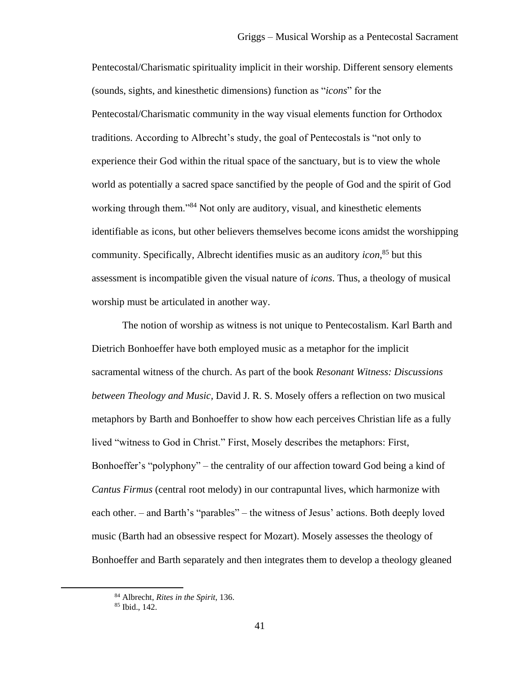Pentecostal/Charismatic spirituality implicit in their worship. Different sensory elements (sounds, sights, and kinesthetic dimensions) function as "*icons*" for the Pentecostal/Charismatic community in the way visual elements function for Orthodox traditions. According to Albrecht's study, the goal of Pentecostals is "not only to experience their God within the ritual space of the sanctuary, but is to view the whole world as potentially a sacred space sanctified by the people of God and the spirit of God working through them."<sup>84</sup> Not only are auditory, visual, and kinesthetic elements identifiable as icons, but other believers themselves become icons amidst the worshipping community. Specifically, Albrecht identifies music as an auditory *icon*, <sup>85</sup> but this assessment is incompatible given the visual nature of *icons*. Thus, a theology of musical worship must be articulated in another way.

The notion of worship as witness is not unique to Pentecostalism. Karl Barth and Dietrich Bonhoeffer have both employed music as a metaphor for the implicit sacramental witness of the church. As part of the book *Resonant Witness: Discussions between Theology and Music,* David J. R. S. Mosely offers a reflection on two musical metaphors by Barth and Bonhoeffer to show how each perceives Christian life as a fully lived "witness to God in Christ." First, Mosely describes the metaphors: First, Bonhoeffer's "polyphony" – the centrality of our affection toward God being a kind of *Cantus Firmus* (central root melody) in our contrapuntal lives, which harmonize with each other. – and Barth's "parables" – the witness of Jesus' actions. Both deeply loved music (Barth had an obsessive respect for Mozart). Mosely assesses the theology of Bonhoeffer and Barth separately and then integrates them to develop a theology gleaned

<sup>84</sup> Albrecht, *Rites in the Spirit*, 136.

<sup>85</sup> Ibid., 142.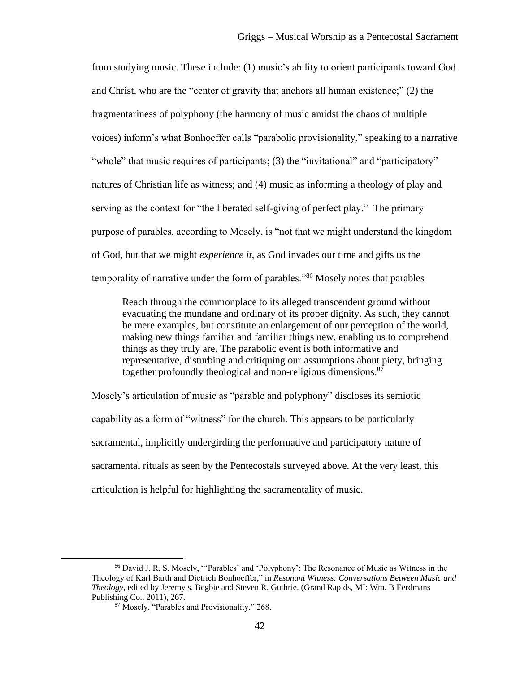from studying music. These include: (1) music's ability to orient participants toward God and Christ, who are the "center of gravity that anchors all human existence;" (2) the fragmentariness of polyphony (the harmony of music amidst the chaos of multiple voices) inform's what Bonhoeffer calls "parabolic provisionality," speaking to a narrative "whole" that music requires of participants; (3) the "invitational" and "participatory" natures of Christian life as witness; and (4) music as informing a theology of play and serving as the context for "the liberated self-giving of perfect play." The primary purpose of parables, according to Mosely, is "not that we might understand the kingdom of God, but that we might *experience it*, as God invades our time and gifts us the temporality of narrative under the form of parables."<sup>86</sup> Mosely notes that parables

Reach through the commonplace to its alleged transcendent ground without evacuating the mundane and ordinary of its proper dignity. As such, they cannot be mere examples, but constitute an enlargement of our perception of the world, making new things familiar and familiar things new, enabling us to comprehend things as they truly are. The parabolic event is both informative and representative, disturbing and critiquing our assumptions about piety, bringing together profoundly theological and non-religious dimensions.<sup>87</sup>

Mosely's articulation of music as "parable and polyphony" discloses its semiotic capability as a form of "witness" for the church. This appears to be particularly sacramental, implicitly undergirding the performative and participatory nature of sacramental rituals as seen by the Pentecostals surveyed above. At the very least, this articulation is helpful for highlighting the sacramentality of music.

<sup>86</sup> David J. R. S. Mosely, "'Parables' and 'Polyphony': The Resonance of Music as Witness in the Theology of Karl Barth and Dietrich Bonhoeffer," in *Resonant Witness: Conversations Between Music and Theology,* edited by Jeremy s. Begbie and Steven R. Guthrie. (Grand Rapids, MI: Wm. B Eerdmans Publishing Co., 2011), 267.

<sup>87</sup> Mosely, "Parables and Provisionality," 268.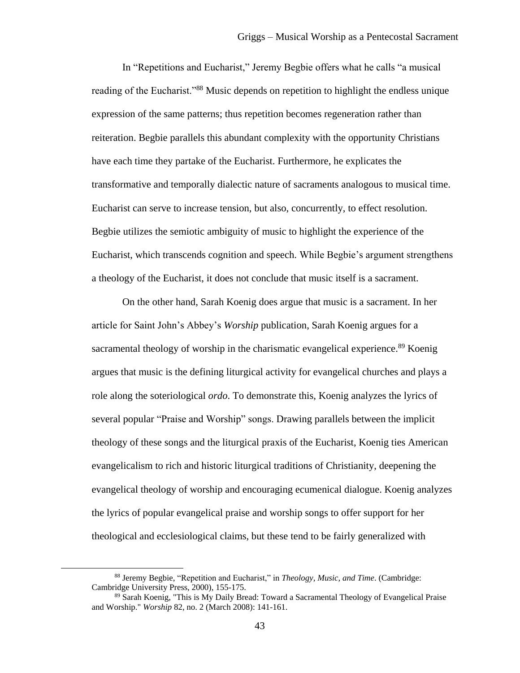In "Repetitions and Eucharist," Jeremy Begbie offers what he calls "a musical reading of the Eucharist."<sup>88</sup> Music depends on repetition to highlight the endless unique expression of the same patterns; thus repetition becomes regeneration rather than reiteration. Begbie parallels this abundant complexity with the opportunity Christians have each time they partake of the Eucharist. Furthermore, he explicates the transformative and temporally dialectic nature of sacraments analogous to musical time. Eucharist can serve to increase tension, but also, concurrently, to effect resolution. Begbie utilizes the semiotic ambiguity of music to highlight the experience of the Eucharist, which transcends cognition and speech. While Begbie's argument strengthens a theology of the Eucharist, it does not conclude that music itself is a sacrament.

On the other hand, Sarah Koenig does argue that music is a sacrament. In her article for Saint John's Abbey's *Worship* publication, Sarah Koenig argues for a sacramental theology of worship in the charismatic evangelical experience.<sup>89</sup> Koenig argues that music is the defining liturgical activity for evangelical churches and plays a role along the soteriological *ordo*. To demonstrate this, Koenig analyzes the lyrics of several popular "Praise and Worship" songs. Drawing parallels between the implicit theology of these songs and the liturgical praxis of the Eucharist, Koenig ties American evangelicalism to rich and historic liturgical traditions of Christianity, deepening the evangelical theology of worship and encouraging ecumenical dialogue. Koenig analyzes the lyrics of popular evangelical praise and worship songs to offer support for her theological and ecclesiological claims, but these tend to be fairly generalized with

<sup>88</sup> Jeremy Begbie, "Repetition and Eucharist," in *Theology, Music, and Time*. (Cambridge: Cambridge University Press, 2000), 155-175.

<sup>89</sup> Sarah Koenig, "This is My Daily Bread: Toward a Sacramental Theology of Evangelical Praise and Worship." *Worship* 82, no. 2 (March 2008): 141-161.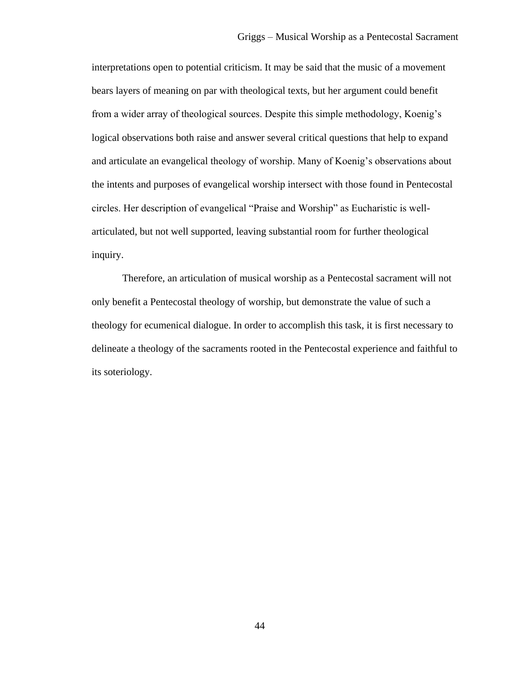interpretations open to potential criticism. It may be said that the music of a movement bears layers of meaning on par with theological texts, but her argument could benefit from a wider array of theological sources. Despite this simple methodology, Koenig's logical observations both raise and answer several critical questions that help to expand and articulate an evangelical theology of worship. Many of Koenig's observations about the intents and purposes of evangelical worship intersect with those found in Pentecostal circles. Her description of evangelical "Praise and Worship" as Eucharistic is wellarticulated, but not well supported, leaving substantial room for further theological inquiry.

Therefore, an articulation of musical worship as a Pentecostal sacrament will not only benefit a Pentecostal theology of worship, but demonstrate the value of such a theology for ecumenical dialogue. In order to accomplish this task, it is first necessary to delineate a theology of the sacraments rooted in the Pentecostal experience and faithful to its soteriology.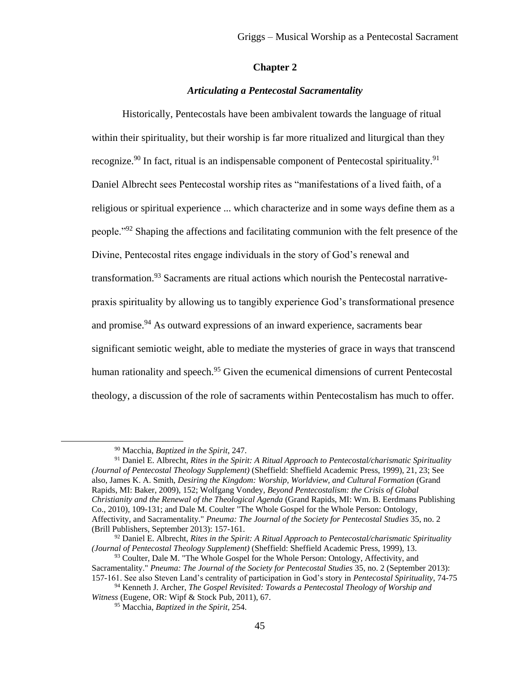## **Chapter 2**

## *Articulating a Pentecostal Sacramentality*

Historically, Pentecostals have been ambivalent towards the language of ritual within their spirituality, but their worship is far more ritualized and liturgical than they recognize.<sup>90</sup> In fact, ritual is an indispensable component of Pentecostal spirituality.<sup>91</sup> Daniel Albrecht sees Pentecostal worship rites as "manifestations of a lived faith, of a religious or spiritual experience ... which characterize and in some ways define them as a people."<sup>92</sup> Shaping the affections and facilitating communion with the felt presence of the Divine, Pentecostal rites engage individuals in the story of God's renewal and transformation.<sup>93</sup> Sacraments are ritual actions which nourish the Pentecostal narrativepraxis spirituality by allowing us to tangibly experience God's transformational presence and promise.<sup>94</sup> As outward expressions of an inward experience, sacraments bear significant semiotic weight, able to mediate the mysteries of grace in ways that transcend human rationality and speech.<sup>95</sup> Given the ecumenical dimensions of current Pentecostal theology, a discussion of the role of sacraments within Pentecostalism has much to offer.

<sup>90</sup> Macchia, *Baptized in the Spirit*, 247.

<sup>91</sup> Daniel E. Albrecht, *Rites in the Spirit: A Ritual Approach to Pentecostal/charismatic Spirituality (Journal of Pentecostal Theology Supplement)* (Sheffield: Sheffield Academic Press, 1999), 21, 23; See also, James K. A. Smith, *Desiring the Kingdom: Worship, Worldview, and Cultural Formation* (Grand Rapids, MI: Baker, 2009), 152; Wolfgang Vondey, *Beyond Pentecostalism: the Crisis of Global Christianity and the Renewal of the Theological Agenda* (Grand Rapids, MI: Wm. B. Eerdmans Publishing Co., 2010), 109-131; and Dale M. Coulter "The Whole Gospel for the Whole Person: Ontology, Affectivity, and Sacramentality." *Pneuma: The Journal of the Society for Pentecostal Studies* 35, no. 2 (Brill Publishers, September 2013): 157-161.

<sup>92</sup> Daniel E. Albrecht, *Rites in the Spirit: A Ritual Approach to Pentecostal/charismatic Spirituality (Journal of Pentecostal Theology Supplement)* (Sheffield: Sheffield Academic Press, 1999), 13.

<sup>&</sup>lt;sup>93</sup> Coulter, Dale M. "The Whole Gospel for the Whole Person: Ontology, Affectivity, and Sacramentality." *Pneuma: The Journal of the Society for Pentecostal Studies* 35, no. 2 (September 2013): 157-161. See also Steven Land's centrality of participation in God's story in *Pentecostal Spirituality*, 74-75

<sup>94</sup> Kenneth J. Archer, *The Gospel Revisited: Towards a Pentecostal Theology of Worship and Witness* (Eugene, OR: Wipf & Stock Pub, 2011), 67.

<sup>95</sup> Macchia, *Baptized in the Spirit*, 254.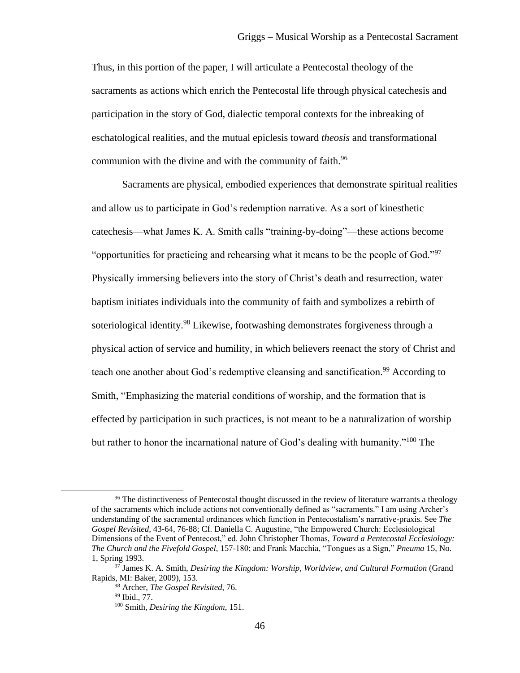Thus, in this portion of the paper, I will articulate a Pentecostal theology of the sacraments as actions which enrich the Pentecostal life through physical catechesis and participation in the story of God, dialectic temporal contexts for the inbreaking of eschatological realities, and the mutual epiclesis toward *theosis* and transformational communion with the divine and with the community of faith.<sup>96</sup>

Sacraments are physical, embodied experiences that demonstrate spiritual realities and allow us to participate in God's redemption narrative. As a sort of kinesthetic catechesis—what James K. A. Smith calls "training-by-doing"—these actions become "opportunities for practicing and rehearsing what it means to be the people of God."<sup>97</sup> Physically immersing believers into the story of Christ's death and resurrection, water baptism initiates individuals into the community of faith and symbolizes a rebirth of soteriological identity.<sup>98</sup> Likewise, footwashing demonstrates forgiveness through a physical action of service and humility, in which believers reenact the story of Christ and teach one another about God's redemptive cleansing and sanctification.<sup>99</sup> According to Smith, "Emphasizing the material conditions of worship, and the formation that is effected by participation in such practices, is not meant to be a naturalization of worship but rather to honor the incarnational nature of God's dealing with humanity."<sup>100</sup> The

<sup>98</sup> Archer, *The Gospel Revisited*, 76.

<sup>&</sup>lt;sup>96</sup> The distinctiveness of Pentecostal thought discussed in the review of literature warrants a theology of the sacraments which include actions not conventionally defined as "sacraments." I am using Archer's understanding of the sacramental ordinances which function in Pentecostalism's narrative-praxis. See *The Gospel Revisited,* 43-64, 76-88; Cf. Daniella C. Augustine, "the Empowered Church: Ecclesiological Dimensions of the Event of Pentecost," ed. John Christopher Thomas, *Toward a Pentecostal Ecclesiology: The Church and the Fivefold Gospel*, 157-180; and Frank Macchia, "Tongues as a Sign," *Pneuma* 15, No. 1, Spring 1993.

<sup>97</sup> James K. A. Smith, *Desiring the Kingdom: Worship, Worldview, and Cultural Formation* (Grand Rapids, MI: Baker, 2009), 153.

<sup>99</sup> Ibid., 77.

<sup>100</sup> Smith, *Desiring the Kingdom*, 151.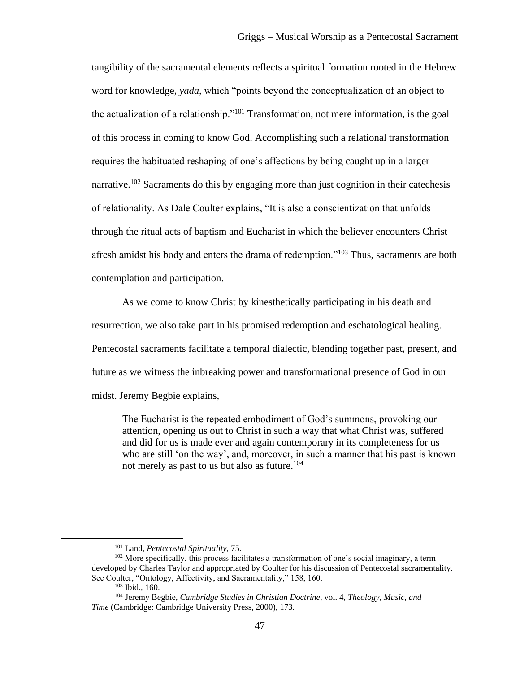tangibility of the sacramental elements reflects a spiritual formation rooted in the Hebrew word for knowledge, *yada*, which "points beyond the conceptualization of an object to the actualization of a relationship."<sup>101</sup> Transformation, not mere information, is the goal of this process in coming to know God. Accomplishing such a relational transformation requires the habituated reshaping of one's affections by being caught up in a larger narrative.<sup>102</sup> Sacraments do this by engaging more than just cognition in their catechesis of relationality. As Dale Coulter explains, "It is also a conscientization that unfolds through the ritual acts of baptism and Eucharist in which the believer encounters Christ afresh amidst his body and enters the drama of redemption."<sup>103</sup> Thus, sacraments are both contemplation and participation.

As we come to know Christ by kinesthetically participating in his death and resurrection, we also take part in his promised redemption and eschatological healing. Pentecostal sacraments facilitate a temporal dialectic, blending together past, present, and future as we witness the inbreaking power and transformational presence of God in our midst. Jeremy Begbie explains,

The Eucharist is the repeated embodiment of God's summons, provoking our attention, opening us out to Christ in such a way that what Christ was, suffered and did for us is made ever and again contemporary in its completeness for us who are still 'on the way', and, moreover, in such a manner that his past is known not merely as past to us but also as future.<sup>104</sup>

<sup>101</sup> Land, *Pentecostal Spirituality,* 75.

<sup>&</sup>lt;sup>102</sup> More specifically, this process facilitates a transformation of one's social imaginary, a term developed by Charles Taylor and appropriated by Coulter for his discussion of Pentecostal sacramentality. See Coulter, "Ontology, Affectivity, and Sacramentality," 158, 160.

<sup>103</sup> Ibid., 160.

<sup>104</sup> Jeremy Begbie, *Cambridge Studies in Christian Doctrine*, vol. 4, *Theology, Music, and Time* (Cambridge: Cambridge University Press, 2000), 173.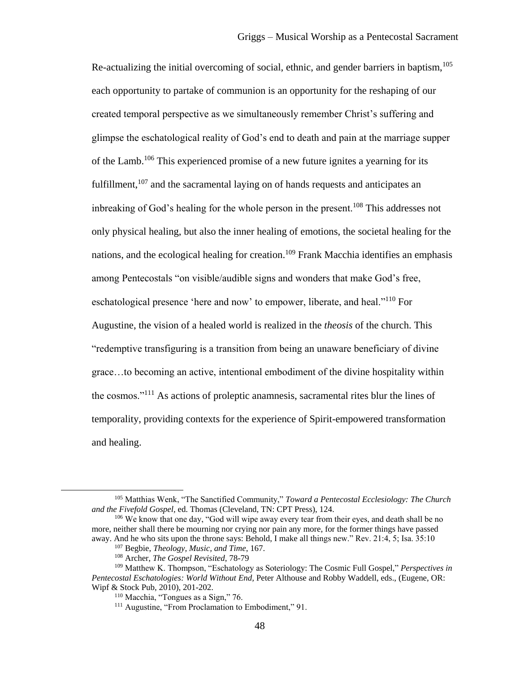Re-actualizing the initial overcoming of social, ethnic, and gender barriers in baptism,  $105$ each opportunity to partake of communion is an opportunity for the reshaping of our created temporal perspective as we simultaneously remember Christ's suffering and glimpse the eschatological reality of God's end to death and pain at the marriage supper of the Lamb.<sup>106</sup> This experienced promise of a new future ignites a yearning for its fulfillment, $107$  and the sacramental laying on of hands requests and anticipates an inbreaking of God's healing for the whole person in the present.<sup>108</sup> This addresses not only physical healing, but also the inner healing of emotions, the societal healing for the nations, and the ecological healing for creation.<sup>109</sup> Frank Macchia identifies an emphasis among Pentecostals "on visible/audible signs and wonders that make God's free, eschatological presence 'here and now' to empower, liberate, and heal."<sup>110</sup> For Augustine, the vision of a healed world is realized in the *theosis* of the church. This "redemptive transfiguring is a transition from being an unaware beneficiary of divine grace…to becoming an active, intentional embodiment of the divine hospitality within the cosmos."<sup>111</sup> As actions of proleptic anamnesis, sacramental rites blur the lines of temporality, providing contexts for the experience of Spirit-empowered transformation and healing.

<sup>105</sup> Matthias Wenk, "The Sanctified Community," *Toward a Pentecostal Ecclesiology: The Church and the Fivefold Gospel,* ed. Thomas (Cleveland, TN: CPT Press), 124.

<sup>&</sup>lt;sup>106</sup> We know that one day, "God will wipe away every tear from their eyes, and death shall be no more, neither shall there be mourning nor crying nor pain any more, for the former things have passed away. And he who sits upon the throne says: Behold, I make all things new." Rev. 21:4, 5; Isa. 35:10

<sup>107</sup> Begbie, *Theology, Music, and Time*, 167.

<sup>108</sup> Archer, *The Gospel Revisited*, 78-79

<sup>109</sup> Matthew K. Thompson, "Eschatology as Soteriology: The Cosmic Full Gospel," *Perspectives in Pentecostal Eschatologies: World Without End,* Peter Althouse and Robby Waddell, eds., (Eugene, OR: Wipf & Stock Pub, 2010), 201-202.

<sup>110</sup> Macchia, "Tongues as a Sign," 76.

<sup>&</sup>lt;sup>111</sup> Augustine, "From Proclamation to Embodiment," 91.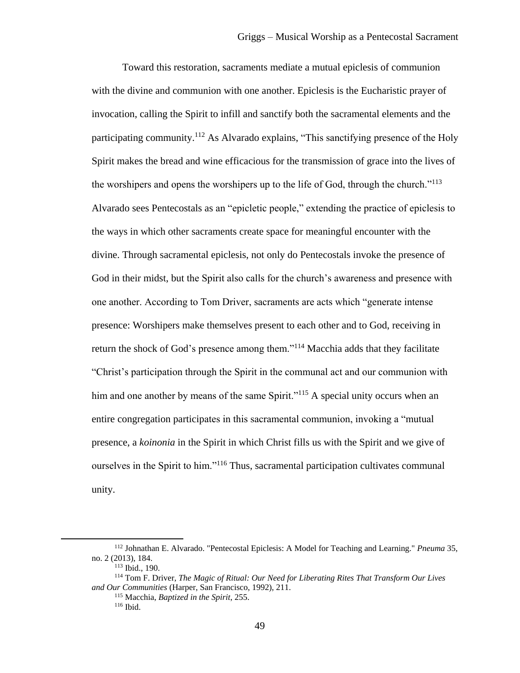Toward this restoration, sacraments mediate a mutual epiclesis of communion with the divine and communion with one another. Epiclesis is the Eucharistic prayer of invocation, calling the Spirit to infill and sanctify both the sacramental elements and the participating community.<sup>112</sup> As Alvarado explains, "This sanctifying presence of the Holy Spirit makes the bread and wine efficacious for the transmission of grace into the lives of the worshipers and opens the worshipers up to the life of God, through the church."<sup>113</sup> Alvarado sees Pentecostals as an "epicletic people," extending the practice of epiclesis to the ways in which other sacraments create space for meaningful encounter with the divine. Through sacramental epiclesis, not only do Pentecostals invoke the presence of God in their midst, but the Spirit also calls for the church's awareness and presence with one another. According to Tom Driver, sacraments are acts which "generate intense presence: Worshipers make themselves present to each other and to God, receiving in return the shock of God's presence among them."<sup>114</sup> Macchia adds that they facilitate "Christ's participation through the Spirit in the communal act and our communion with him and one another by means of the same Spirit."<sup>115</sup> A special unity occurs when an entire congregation participates in this sacramental communion, invoking a "mutual presence, a *koinonia* in the Spirit in which Christ fills us with the Spirit and we give of ourselves in the Spirit to him."<sup>116</sup> Thus, sacramental participation cultivates communal unity.

<sup>112</sup> Johnathan E. Alvarado. "Pentecostal Epiclesis: A Model for Teaching and Learning." *Pneuma* 35, no. 2 (2013), 184.

<sup>113</sup> Ibid., 190.

<sup>114</sup> Tom F. Driver, *The Magic of Ritual: Our Need for Liberating Rites That Transform Our Lives and Our Communities* (Harper, San Francisco, 1992), 211.

<sup>115</sup> Macchia, *Baptized in the Spirit*, 255. <sup>116</sup> Ibid.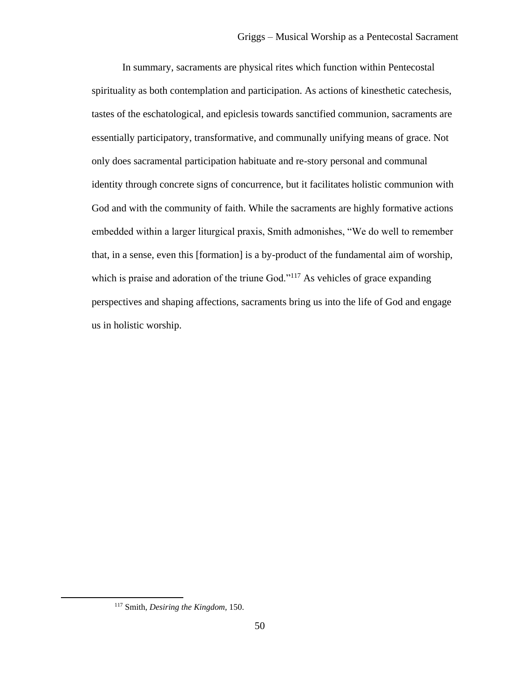In summary, sacraments are physical rites which function within Pentecostal spirituality as both contemplation and participation. As actions of kinesthetic catechesis, tastes of the eschatological, and epiclesis towards sanctified communion, sacraments are essentially participatory, transformative, and communally unifying means of grace. Not only does sacramental participation habituate and re-story personal and communal identity through concrete signs of concurrence, but it facilitates holistic communion with God and with the community of faith. While the sacraments are highly formative actions embedded within a larger liturgical praxis, Smith admonishes, "We do well to remember that, in a sense, even this [formation] is a by-product of the fundamental aim of worship, which is praise and adoration of the triune God."<sup>117</sup> As vehicles of grace expanding perspectives and shaping affections, sacraments bring us into the life of God and engage us in holistic worship.

<sup>117</sup> Smith, *Desiring the Kingdom,* 150.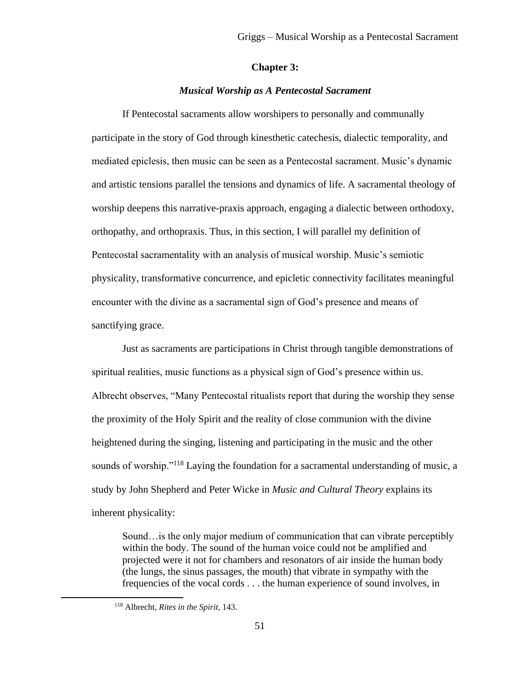## **Chapter 3:**

## *Musical Worship as A Pentecostal Sacrament*

If Pentecostal sacraments allow worshipers to personally and communally participate in the story of God through kinesthetic catechesis, dialectic temporality, and mediated epiclesis, then music can be seen as a Pentecostal sacrament. Music's dynamic and artistic tensions parallel the tensions and dynamics of life. A sacramental theology of worship deepens this narrative-praxis approach, engaging a dialectic between orthodoxy, orthopathy, and orthopraxis. Thus, in this section, I will parallel my definition of Pentecostal sacramentality with an analysis of musical worship. Music's semiotic physicality, transformative concurrence, and epicletic connectivity facilitates meaningful encounter with the divine as a sacramental sign of God's presence and means of sanctifying grace.

Just as sacraments are participations in Christ through tangible demonstrations of spiritual realities, music functions as a physical sign of God's presence within us. Albrecht observes, "Many Pentecostal ritualists report that during the worship they sense the proximity of the Holy Spirit and the reality of close communion with the divine heightened during the singing, listening and participating in the music and the other sounds of worship."<sup>118</sup> Laying the foundation for a sacramental understanding of music, a study by John Shepherd and Peter Wicke in *Music and Cultural Theory* explains its inherent physicality:

Sound…is the only major medium of communication that can vibrate perceptibly within the body. The sound of the human voice could not be amplified and projected were it not for chambers and resonators of air inside the human body (the lungs, the sinus passages, the mouth) that vibrate in sympathy with the frequencies of the vocal cords . . . the human experience of sound involves, in

<sup>118</sup> Albrecht, *Rites in the Spirit,* 143.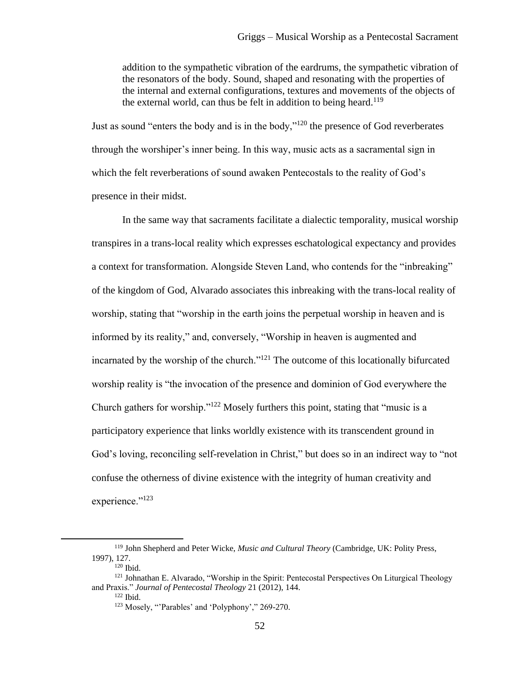addition to the sympathetic vibration of the eardrums, the sympathetic vibration of the resonators of the body. Sound, shaped and resonating with the properties of the internal and external configurations, textures and movements of the objects of the external world, can thus be felt in addition to being heard.<sup>119</sup>

Just as sound "enters the body and is in the body,"<sup>120</sup> the presence of God reverberates through the worshiper's inner being. In this way, music acts as a sacramental sign in which the felt reverberations of sound awaken Pentecostals to the reality of God's presence in their midst.

In the same way that sacraments facilitate a dialectic temporality, musical worship transpires in a trans-local reality which expresses eschatological expectancy and provides a context for transformation. Alongside Steven Land, who contends for the "inbreaking" of the kingdom of God, Alvarado associates this inbreaking with the trans-local reality of worship, stating that "worship in the earth joins the perpetual worship in heaven and is informed by its reality," and, conversely, "Worship in heaven is augmented and incarnated by the worship of the church."<sup>121</sup> The outcome of this locationally bifurcated worship reality is "the invocation of the presence and dominion of God everywhere the Church gathers for worship."<sup>122</sup> Mosely furthers this point, stating that "music is a participatory experience that links worldly existence with its transcendent ground in God's loving, reconciling self-revelation in Christ," but does so in an indirect way to "not confuse the otherness of divine existence with the integrity of human creativity and experience."<sup>123</sup>

<sup>119</sup> John Shepherd and Peter Wicke, *Music and Cultural Theory* (Cambridge, UK: Polity Press, 1997), 127.

 $120$  Ibid.

<sup>&</sup>lt;sup>121</sup> Johnathan E. Alvarado, "Worship in the Spirit: Pentecostal Perspectives On Liturgical Theology and Praxis." *Journal of Pentecostal Theology* 21 (2012), 144.

 $122$  Ibid.

<sup>123</sup> Mosely, "'Parables' and 'Polyphony'," 269-270.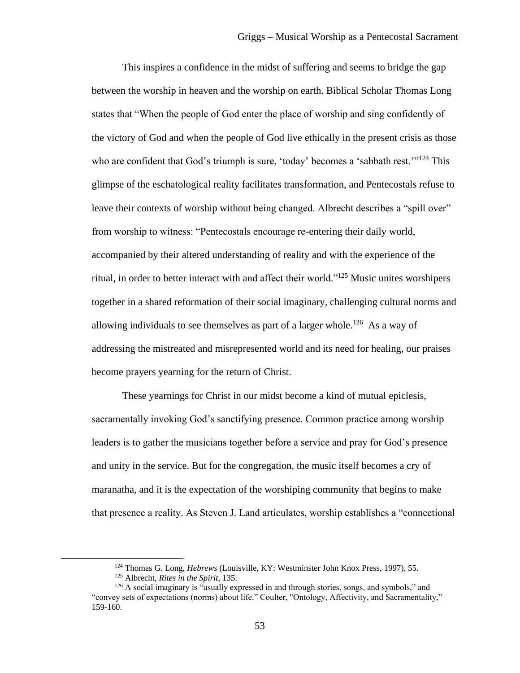This inspires a confidence in the midst of suffering and seems to bridge the gap between the worship in heaven and the worship on earth. Biblical Scholar Thomas Long states that "When the people of God enter the place of worship and sing confidently of the victory of God and when the people of God live ethically in the present crisis as those who are confident that God's triumph is sure, 'today' becomes a 'sabbath rest.'"<sup>124</sup> This glimpse of the eschatological reality facilitates transformation, and Pentecostals refuse to leave their contexts of worship without being changed. Albrecht describes a "spill over" from worship to witness: "Pentecostals encourage re-entering their daily world, accompanied by their altered understanding of reality and with the experience of the ritual, in order to better interact with and affect their world."<sup>125</sup> Music unites worshipers together in a shared reformation of their social imaginary, challenging cultural norms and allowing individuals to see themselves as part of a larger whole.<sup>126</sup> As a way of addressing the mistreated and misrepresented world and its need for healing, our praises become prayers yearning for the return of Christ.

These yearnings for Christ in our midst become a kind of mutual epiclesis, sacramentally invoking God's sanctifying presence. Common practice among worship leaders is to gather the musicians together before a service and pray for God's presence and unity in the service. But for the congregation, the music itself becomes a cry of maranatha, and it is the expectation of the worshiping community that begins to make that presence a reality. As Steven J. Land articulates, worship establishes a "connectional

<sup>124</sup> Thomas G. Long, *Hebrews* (Louisville, KY: Westminster John Knox Press, 1997), 55.

<sup>125</sup> Albrecht, *Rites in the Spirit*, 135.

 $126$  A social imaginary is "usually expressed in and through stories, songs, and symbols," and "convey sets of expectations (norms) about life." Coulter, "Ontology, Affectivity, and Sacramentality," 159-160.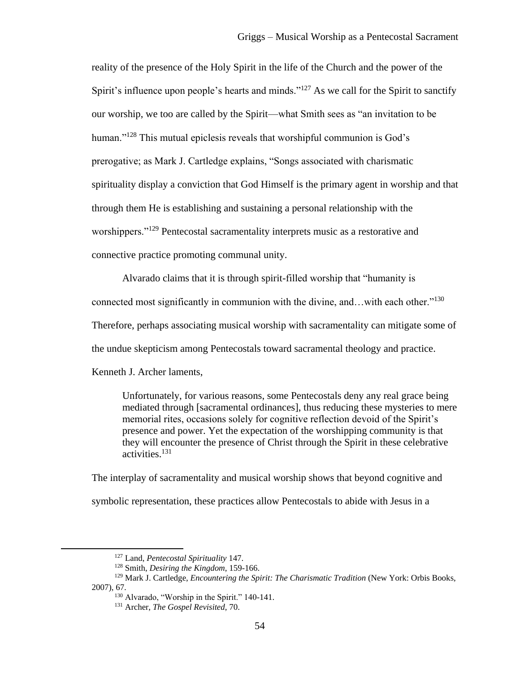reality of the presence of the Holy Spirit in the life of the Church and the power of the Spirit's influence upon people's hearts and minds."<sup>127</sup> As we call for the Spirit to sanctify our worship, we too are called by the Spirit—what Smith sees as "an invitation to be human."<sup>128</sup> This mutual epiclesis reveals that worshipful communion is God's prerogative; as Mark J. Cartledge explains, "Songs associated with charismatic spirituality display a conviction that God Himself is the primary agent in worship and that through them He is establishing and sustaining a personal relationship with the worshippers."<sup>129</sup> Pentecostal sacramentality interprets music as a restorative and connective practice promoting communal unity.

Alvarado claims that it is through spirit-filled worship that "humanity is connected most significantly in communion with the divine, and...with each other."<sup>130</sup> Therefore, perhaps associating musical worship with sacramentality can mitigate some of the undue skepticism among Pentecostals toward sacramental theology and practice. Kenneth J. Archer laments,

Unfortunately, for various reasons, some Pentecostals deny any real grace being mediated through [sacramental ordinances], thus reducing these mysteries to mere memorial rites, occasions solely for cognitive reflection devoid of the Spirit's presence and power. Yet the expectation of the worshipping community is that they will encounter the presence of Christ through the Spirit in these celebrative activities.<sup>131</sup>

The interplay of sacramentality and musical worship shows that beyond cognitive and symbolic representation, these practices allow Pentecostals to abide with Jesus in a

<sup>127</sup> Land, *Pentecostal Spirituality* 147.

<sup>128</sup> Smith, *Desiring the Kingdom*, 159-166.

<sup>&</sup>lt;sup>129</sup> Mark J. Cartledge, *Encountering the Spirit: The Charismatic Tradition* (New York: Orbis Books, 2007), 67.

<sup>&</sup>lt;sup>130</sup> Alvarado, "Worship in the Spirit." 140-141.

<sup>131</sup> Archer, *The Gospel Revisited*, 70.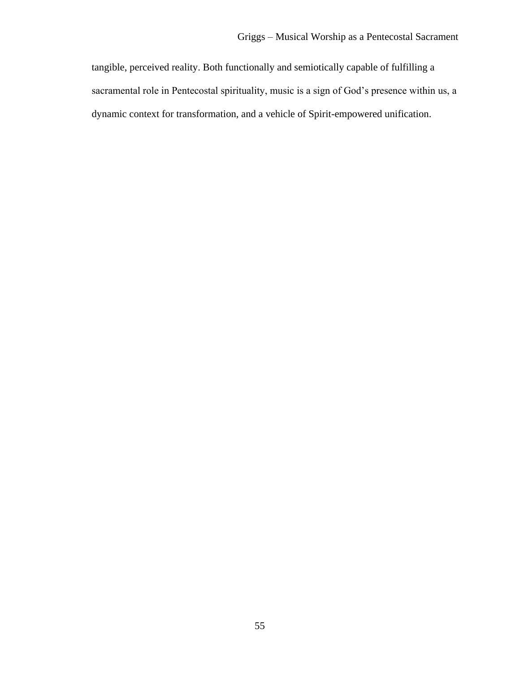tangible, perceived reality. Both functionally and semiotically capable of fulfilling a sacramental role in Pentecostal spirituality, music is a sign of God's presence within us, a dynamic context for transformation, and a vehicle of Spirit-empowered unification.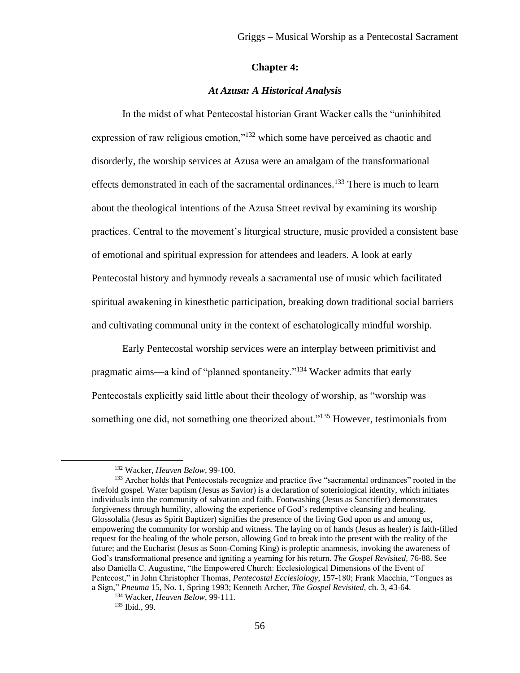#### **Chapter 4:**

## *At Azusa: A Historical Analysis*

In the midst of what Pentecostal historian Grant Wacker calls the "uninhibited expression of raw religious emotion,"<sup>132</sup> which some have perceived as chaotic and disorderly, the worship services at Azusa were an amalgam of the transformational effects demonstrated in each of the sacramental ordinances.<sup>133</sup> There is much to learn about the theological intentions of the Azusa Street revival by examining its worship practices. Central to the movement's liturgical structure, music provided a consistent base of emotional and spiritual expression for attendees and leaders. A look at early Pentecostal history and hymnody reveals a sacramental use of music which facilitated spiritual awakening in kinesthetic participation, breaking down traditional social barriers and cultivating communal unity in the context of eschatologically mindful worship.

Early Pentecostal worship services were an interplay between primitivist and pragmatic aims—a kind of "planned spontaneity."<sup>134</sup> Wacker admits that early Pentecostals explicitly said little about their theology of worship, as "worship was something one did, not something one theorized about."<sup>135</sup> However, testimonials from

<sup>132</sup> Wacker, *Heaven Below*, 99-100.

<sup>&</sup>lt;sup>133</sup> Archer holds that Pentecostals recognize and practice five "sacramental ordinances" rooted in the fivefold gospel. Water baptism (Jesus as Savior) is a declaration of soteriological identity, which initiates individuals into the community of salvation and faith. Footwashing (Jesus as Sanctifier) demonstrates forgiveness through humility, allowing the experience of God's redemptive cleansing and healing. Glossolalia (Jesus as Spirit Baptizer) signifies the presence of the living God upon us and among us, empowering the community for worship and witness. The laying on of hands (Jesus as healer) is faith-filled request for the healing of the whole person, allowing God to break into the present with the reality of the future; and the Eucharist (Jesus as Soon-Coming King) is proleptic anamnesis, invoking the awareness of God's transformational presence and igniting a yearning for his return. *The Gospel Revisited,* 76-88. See also Daniella C. Augustine, "the Empowered Church: Ecclesiological Dimensions of the Event of Pentecost," in John Christopher Thomas, *Pentecostal Ecclesiology*, 157-180; Frank Macchia, "Tongues as a Sign," *Pneuma* 15, No. 1, Spring 1993; Kenneth Archer, *The Gospel Revisited,* ch. 3, 43-64.

<sup>134</sup> Wacker, *Heaven Below*, 99-111.

<sup>135</sup> Ibid., 99.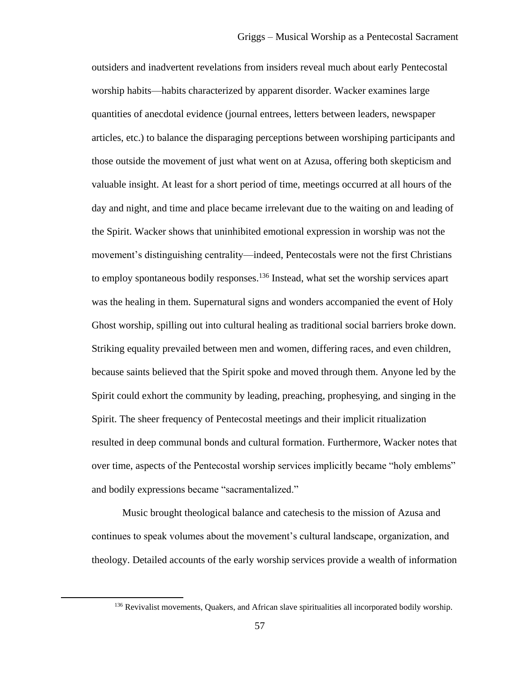outsiders and inadvertent revelations from insiders reveal much about early Pentecostal worship habits—habits characterized by apparent disorder. Wacker examines large quantities of anecdotal evidence (journal entrees, letters between leaders, newspaper articles, etc.) to balance the disparaging perceptions between worshiping participants and those outside the movement of just what went on at Azusa, offering both skepticism and valuable insight. At least for a short period of time, meetings occurred at all hours of the day and night, and time and place became irrelevant due to the waiting on and leading of the Spirit. Wacker shows that uninhibited emotional expression in worship was not the movement's distinguishing centrality—indeed, Pentecostals were not the first Christians to employ spontaneous bodily responses.<sup>136</sup> Instead, what set the worship services apart was the healing in them. Supernatural signs and wonders accompanied the event of Holy Ghost worship, spilling out into cultural healing as traditional social barriers broke down. Striking equality prevailed between men and women, differing races, and even children, because saints believed that the Spirit spoke and moved through them. Anyone led by the Spirit could exhort the community by leading, preaching, prophesying, and singing in the Spirit. The sheer frequency of Pentecostal meetings and their implicit ritualization resulted in deep communal bonds and cultural formation. Furthermore, Wacker notes that over time, aspects of the Pentecostal worship services implicitly became "holy emblems" and bodily expressions became "sacramentalized."

Music brought theological balance and catechesis to the mission of Azusa and continues to speak volumes about the movement's cultural landscape, organization, and theology. Detailed accounts of the early worship services provide a wealth of information

<sup>&</sup>lt;sup>136</sup> Revivalist movements, Quakers, and African slave spiritualities all incorporated bodily worship.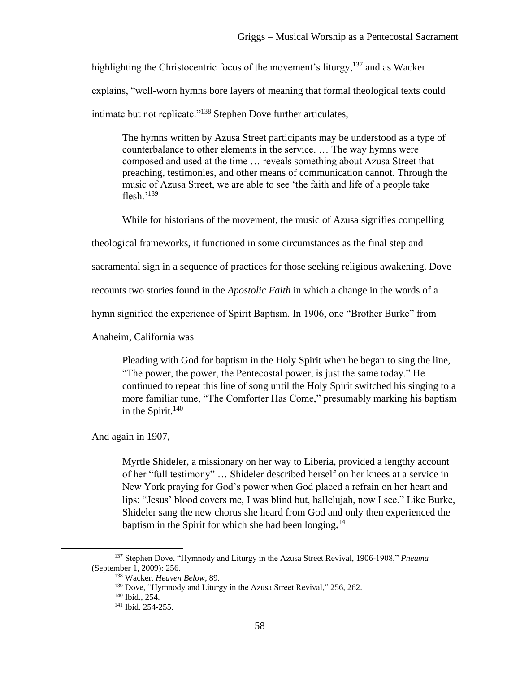highlighting the Christocentric focus of the movement's liturgy,  $137$  and as Wacker explains, "well-worn hymns bore layers of meaning that formal theological texts could intimate but not replicate."<sup>138</sup> Stephen Dove further articulates,

The hymns written by Azusa Street participants may be understood as a type of counterbalance to other elements in the service. … The way hymns were composed and used at the time … reveals something about Azusa Street that preaching, testimonies, and other means of communication cannot. Through the music of Azusa Street, we are able to see 'the faith and life of a people take flesh.'<sup>139</sup>

While for historians of the movement, the music of Azusa signifies compelling

theological frameworks, it functioned in some circumstances as the final step and

sacramental sign in a sequence of practices for those seeking religious awakening. Dove

recounts two stories found in the *Apostolic Faith* in which a change in the words of a

hymn signified the experience of Spirit Baptism. In 1906, one "Brother Burke" from

Anaheim, California was

Pleading with God for baptism in the Holy Spirit when he began to sing the line, "The power, the power, the Pentecostal power, is just the same today." He continued to repeat this line of song until the Holy Spirit switched his singing to a more familiar tune, "The Comforter Has Come," presumably marking his baptism in the Spirit. $140$ 

And again in 1907,

Myrtle Shideler, a missionary on her way to Liberia, provided a lengthy account of her "full testimony" … Shideler described herself on her knees at a service in New York praying for God's power when God placed a refrain on her heart and lips: "Jesus' blood covers me, I was blind but, hallelujah, now I see." Like Burke, Shideler sang the new chorus she heard from God and only then experienced the baptism in the Spirit for which she had been longing**.** 141

<sup>137</sup> Stephen Dove, "Hymnody and Liturgy in the Azusa Street Revival, 1906-1908," *Pneuma*  (September 1, 2009): 256.

<sup>138</sup> Wacker, *Heaven Below,* 89.

<sup>&</sup>lt;sup>139</sup> Dove, "Hymnody and Liturgy in the Azusa Street Revival," 256, 262.

<sup>140</sup> Ibid., 254.

<sup>141</sup> Ibid. 254-255.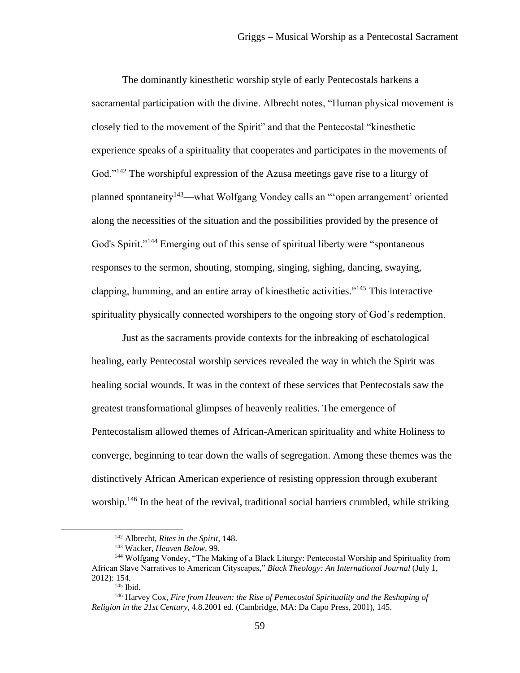The dominantly kinesthetic worship style of early Pentecostals harkens a sacramental participation with the divine. Albrecht notes, "Human physical movement is closely tied to the movement of the Spirit" and that the Pentecostal "kinesthetic experience speaks of a spirituality that cooperates and participates in the movements of God."<sup>142</sup> The worshipful expression of the Azusa meetings gave rise to a liturgy of planned spontaneity<sup>143</sup>—what Wolfgang Vondey calls an "open arrangement' oriented along the necessities of the situation and the possibilities provided by the presence of God's Spirit."<sup>144</sup> Emerging out of this sense of spiritual liberty were "spontaneous" responses to the sermon, shouting, stomping, singing, sighing, dancing, swaying, clapping, humming, and an entire array of kinesthetic activities."<sup>145</sup> This interactive spirituality physically connected worshipers to the ongoing story of God's redemption.

Just as the sacraments provide contexts for the inbreaking of eschatological healing, early Pentecostal worship services revealed the way in which the Spirit was healing social wounds. It was in the context of these services that Pentecostals saw the greatest transformational glimpses of heavenly realities. The emergence of Pentecostalism allowed themes of African-American spirituality and white Holiness to converge, beginning to tear down the walls of segregation. Among these themes was the distinctively African American experience of resisting oppression through exuberant worship.<sup>146</sup> In the heat of the revival, traditional social barriers crumbled, while striking

<sup>142</sup> Albrecht, *Rites in the Spirit*, 148.

<sup>143</sup> Wacker, *Heaven Below,* 99.

<sup>&</sup>lt;sup>144</sup> Wolfgang Vondey, "The Making of a Black Liturgy: Pentecostal Worship and Spirituality from African Slave Narratives to American Cityscapes," *Black Theology: An International Journal* (July 1, 2012): 154.

 $145$  Ibid.

<sup>146</sup> Harvey Cox, *Fire from Heaven: the Rise of Pentecostal Spirituality and the Reshaping of Religion in the 21st Century*, 4.8.2001 ed. (Cambridge, MA: Da Capo Press, 2001), 145.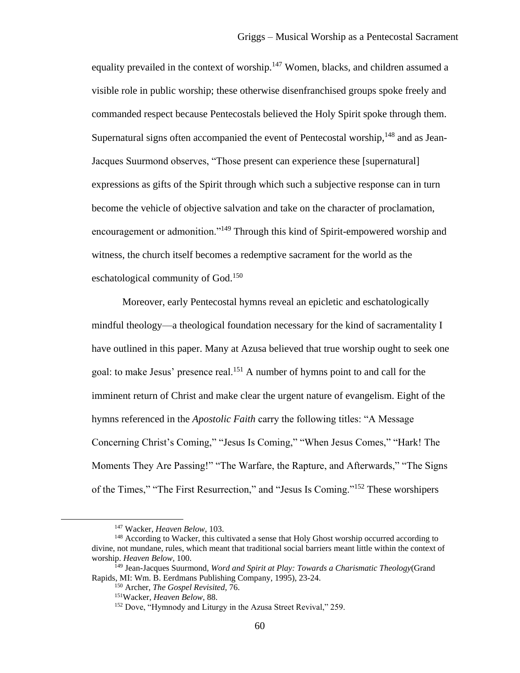equality prevailed in the context of worship.<sup>147</sup> Women, blacks, and children assumed a visible role in public worship; these otherwise disenfranchised groups spoke freely and commanded respect because Pentecostals believed the Holy Spirit spoke through them. Supernatural signs often accompanied the event of Pentecostal worship, <sup>148</sup> and as Jean-Jacques Suurmond observes, "Those present can experience these [supernatural] expressions as gifts of the Spirit through which such a subjective response can in turn become the vehicle of objective salvation and take on the character of proclamation, encouragement or admonition."<sup>149</sup> Through this kind of Spirit-empowered worship and witness, the church itself becomes a redemptive sacrament for the world as the eschatological community of God.<sup>150</sup>

Moreover, early Pentecostal hymns reveal an epicletic and eschatologically mindful theology—a theological foundation necessary for the kind of sacramentality I have outlined in this paper. Many at Azusa believed that true worship ought to seek one goal: to make Jesus' presence real.<sup>151</sup> A number of hymns point to and call for the imminent return of Christ and make clear the urgent nature of evangelism. Eight of the hymns referenced in the *Apostolic Faith* carry the following titles: "A Message Concerning Christ's Coming," "Jesus Is Coming," "When Jesus Comes," "Hark! The Moments They Are Passing!" "The Warfare, the Rapture, and Afterwards," "The Signs of the Times," "The First Resurrection," and "Jesus Is Coming."<sup>152</sup> These worshipers

<sup>147</sup> Wacker, *Heaven Below,* 103.

<sup>&</sup>lt;sup>148</sup> According to Wacker, this cultivated a sense that Holy Ghost worship occurred according to divine, not mundane, rules, which meant that traditional social barriers meant little within the context of worship. *Heaven Below,* 100.

<sup>149</sup> Jean-Jacques Suurmond, *Word and Spirit at Play: Towards a Charismatic Theology*(Grand Rapids, MI: Wm. B. Eerdmans Publishing Company, 1995), 23-24.

<sup>150</sup> Archer, *The Gospel Revisited,* 76.

<sup>151</sup>Wacker, *Heaven Below*, 88.

<sup>152</sup> Dove, "Hymnody and Liturgy in the Azusa Street Revival," 259.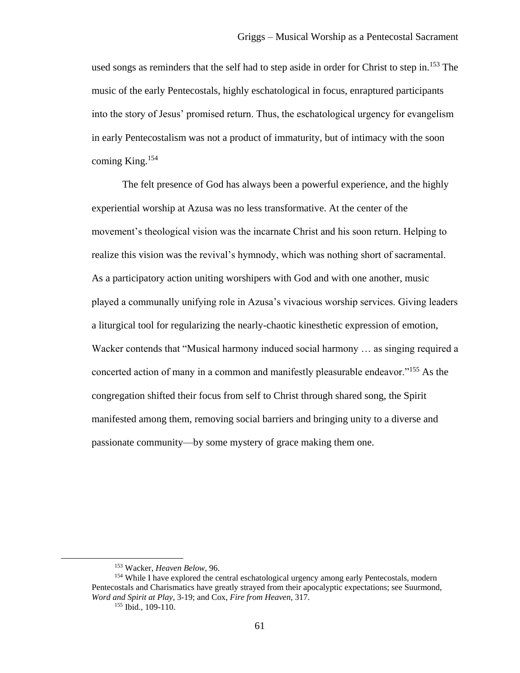used songs as reminders that the self had to step aside in order for Christ to step in.<sup>153</sup> The music of the early Pentecostals, highly eschatological in focus, enraptured participants into the story of Jesus' promised return. Thus, the eschatological urgency for evangelism in early Pentecostalism was not a product of immaturity, but of intimacy with the soon coming King.<sup>154</sup>

The felt presence of God has always been a powerful experience, and the highly experiential worship at Azusa was no less transformative. At the center of the movement's theological vision was the incarnate Christ and his soon return. Helping to realize this vision was the revival's hymnody, which was nothing short of sacramental. As a participatory action uniting worshipers with God and with one another, music played a communally unifying role in Azusa's vivacious worship services. Giving leaders a liturgical tool for regularizing the nearly-chaotic kinesthetic expression of emotion, Wacker contends that "Musical harmony induced social harmony … as singing required a concerted action of many in a common and manifestly pleasurable endeavor."<sup>155</sup> As the congregation shifted their focus from self to Christ through shared song, the Spirit manifested among them, removing social barriers and bringing unity to a diverse and passionate community—by some mystery of grace making them one.

<sup>153</sup> Wacker, *Heaven Below,* 96.

<sup>&</sup>lt;sup>154</sup> While I have explored the central eschatological urgency among early Pentecostals, modern Pentecostals and Charismatics have greatly strayed from their apocalyptic expectations; see Suurmond, *Word and Spirit at Play,* 3-19; and Cox, *Fire from Heaven,* 317. <sup>155</sup> Ibid.*,* 109-110.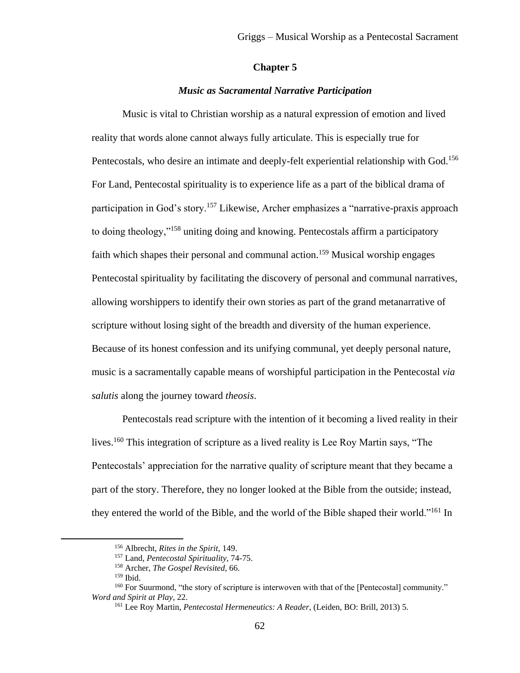## **Chapter 5**

## *Music as Sacramental Narrative Participation*

Music is vital to Christian worship as a natural expression of emotion and lived reality that words alone cannot always fully articulate. This is especially true for Pentecostals, who desire an intimate and deeply-felt experiential relationship with God.<sup>156</sup> For Land, Pentecostal spirituality is to experience life as a part of the biblical drama of participation in God's story.<sup>157</sup> Likewise, Archer emphasizes a "narrative-praxis approach to doing theology,"<sup>158</sup> uniting doing and knowing. Pentecostals affirm a participatory faith which shapes their personal and communal action.<sup>159</sup> Musical worship engages Pentecostal spirituality by facilitating the discovery of personal and communal narratives, allowing worshippers to identify their own stories as part of the grand metanarrative of scripture without losing sight of the breadth and diversity of the human experience. Because of its honest confession and its unifying communal, yet deeply personal nature, music is a sacramentally capable means of worshipful participation in the Pentecostal *via salutis* along the journey toward *theosis*.

Pentecostals read scripture with the intention of it becoming a lived reality in their lives.<sup>160</sup> This integration of scripture as a lived reality is Lee Roy Martin says, "The Pentecostals' appreciation for the narrative quality of scripture meant that they became a part of the story. Therefore, they no longer looked at the Bible from the outside; instead, they entered the world of the Bible, and the world of the Bible shaped their world."<sup>161</sup> In

<sup>156</sup> Albrecht, *Rites in the Spirit,* 149.

<sup>157</sup> Land, *Pentecostal Spirituality*, 74-75.

<sup>158</sup> Archer, *The Gospel Revisited*, 66.

<sup>159</sup> Ibid.

<sup>&</sup>lt;sup>160</sup> For Suurmond, "the story of scripture is interwoven with that of the [Pentecostal] community." *Word and Spirit at Play,* 22.

<sup>161</sup> Lee Roy Martin, *Pentecostal Hermeneutics: A Reader*, (Leiden, BO: Brill, 2013) 5.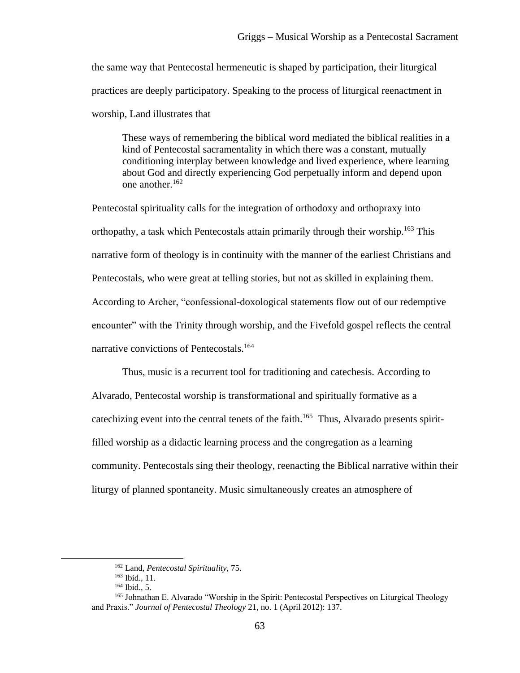the same way that Pentecostal hermeneutic is shaped by participation, their liturgical practices are deeply participatory. Speaking to the process of liturgical reenactment in worship, Land illustrates that

These ways of remembering the biblical word mediated the biblical realities in a kind of Pentecostal sacramentality in which there was a constant, mutually conditioning interplay between knowledge and lived experience, where learning about God and directly experiencing God perpetually inform and depend upon one another  $162$ 

Pentecostal spirituality calls for the integration of orthodoxy and orthopraxy into orthopathy, a task which Pentecostals attain primarily through their worship.<sup>163</sup> This narrative form of theology is in continuity with the manner of the earliest Christians and Pentecostals, who were great at telling stories, but not as skilled in explaining them. According to Archer, "confessional-doxological statements flow out of our redemptive encounter" with the Trinity through worship, and the Fivefold gospel reflects the central narrative convictions of Pentecostals.<sup>164</sup>

Thus, music is a recurrent tool for traditioning and catechesis. According to Alvarado, Pentecostal worship is transformational and spiritually formative as a cate chizing event into the central tenets of the faith.<sup>165</sup> Thus, Alvarado presents spiritfilled worship as a didactic learning process and the congregation as a learning community. Pentecostals sing their theology, reenacting the Biblical narrative within their liturgy of planned spontaneity. Music simultaneously creates an atmosphere of

<sup>162</sup> Land, *Pentecostal Spirituality,* 75.

<sup>163</sup> Ibid., 11.

 $164$  Ibid., 5.

<sup>165</sup> Johnathan E. Alvarado "Worship in the Spirit: Pentecostal Perspectives on Liturgical Theology and Praxis." *Journal of Pentecostal Theology* 21, no. 1 (April 2012): 137.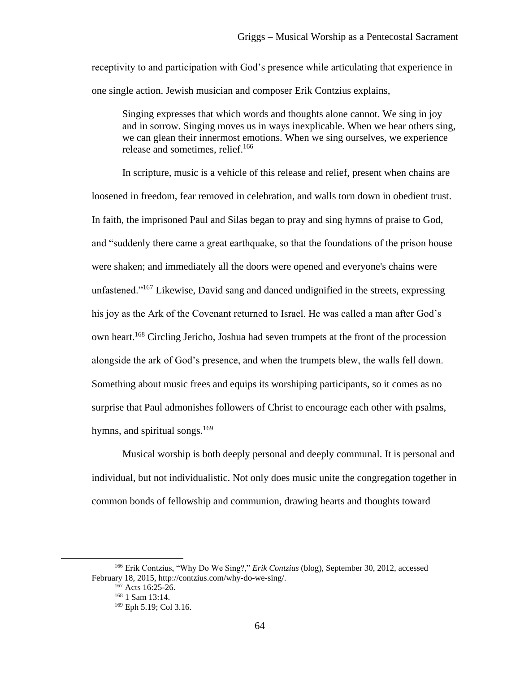receptivity to and participation with God's presence while articulating that experience in one single action. Jewish musician and composer Erik Contzius explains,

Singing expresses that which words and thoughts alone cannot. We sing in joy and in sorrow. Singing moves us in ways inexplicable. When we hear others sing, we can glean their innermost emotions. When we sing ourselves, we experience release and sometimes, relief.<sup>166</sup>

In scripture, music is a vehicle of this release and relief, present when chains are loosened in freedom, fear removed in celebration, and walls torn down in obedient trust. In faith, the imprisoned Paul and Silas began to pray and sing hymns of praise to God, and "suddenly there came a great earthquake, so that the foundations of the prison house were shaken; and immediately all the doors were opened and everyone's chains were unfastened."<sup>167</sup> Likewise, David sang and danced undignified in the streets, expressing his joy as the Ark of the Covenant returned to Israel. He was called a man after God's own heart.<sup>168</sup> Circling Jericho, Joshua had seven trumpets at the front of the procession alongside the ark of God's presence, and when the trumpets blew, the walls fell down. Something about music frees and equips its worshiping participants, so it comes as no surprise that Paul admonishes followers of Christ to encourage each other with psalms, hymns, and spiritual songs.<sup>169</sup>

Musical worship is both deeply personal and deeply communal. It is personal and individual, but not individualistic. Not only does music unite the congregation together in common bonds of fellowship and communion, drawing hearts and thoughts toward

<sup>166</sup> Erik Contzius, "Why Do We Sing?," *Erik Contzius* (blog), September 30, 2012, accessed February 18, 2015[, http://contzius.com/why-do-we-sing/.](http://contzius.com/why-do-we-sing/)

 $167$  Acts 16:25-26.

<sup>168</sup> 1 Sam 13:14.

<sup>169</sup> Eph 5.19; Col 3.16.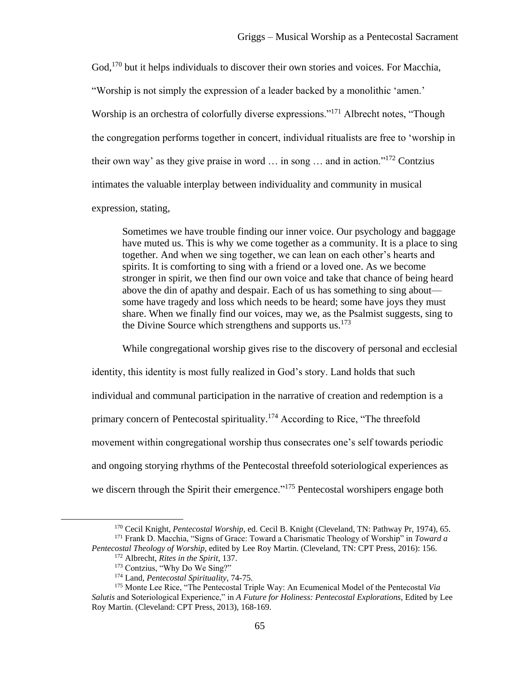God,<sup>170</sup> but it helps individuals to discover their own stories and voices. For Macchia, "Worship is not simply the expression of a leader backed by a monolithic 'amen.' Worship is an orchestra of colorfully diverse expressions."<sup>171</sup> Albrecht notes, "Though the congregation performs together in concert, individual ritualists are free to 'worship in their own way' as they give praise in word  $\ldots$  in song  $\ldots$  and in action."<sup>172</sup> Contzius intimates the valuable interplay between individuality and community in musical

expression, stating,

Sometimes we have trouble finding our inner voice. Our psychology and baggage have muted us. This is why we come together as a community. It is a place to sing together. And when we sing together, we can lean on each other's hearts and spirits. It is comforting to sing with a friend or a loved one. As we become stronger in spirit, we then find our own voice and take that chance of being heard above the din of apathy and despair. Each of us has something to sing about some have tragedy and loss which needs to be heard; some have joys they must share. When we finally find our voices, may we, as the Psalmist suggests, sing to the Divine Source which strengthens and supports us. $173$ 

While congregational worship gives rise to the discovery of personal and ecclesial identity, this identity is most fully realized in God's story. Land holds that such individual and communal participation in the narrative of creation and redemption is a primary concern of Pentecostal spirituality.<sup>174</sup> According to Rice, "The threefold movement within congregational worship thus consecrates one's self towards periodic and ongoing storying rhythms of the Pentecostal threefold soteriological experiences as we discern through the Spirit their emergence."<sup>175</sup> Pentecostal worshipers engage both

<sup>170</sup> Cecil Knight, *Pentecostal Worship*, ed. Cecil B. Knight (Cleveland, TN: Pathway Pr, 1974), 65. <sup>171</sup> Frank D. Macchia, "Signs of Grace: Toward a Charismatic Theology of Worship" in *Toward a* 

*Pentecostal Theology of Worship,* edited by Lee Roy Martin. (Cleveland, TN: CPT Press, 2016): 156. <sup>172</sup> Albrecht, *Rites in the Spirit,* 137.

<sup>173</sup> Contzius, "Why Do We Sing?"

<sup>174</sup> Land, *Pentecostal Spirituality,* 74-75.

<sup>175</sup> Monte Lee Rice, "The Pentecostal Triple Way: An Ecumenical Model of the Pentecostal *Via Salutis* and Soteriological Experience," in *A Future for Holiness: Pentecostal Explorations,* Edited by Lee Roy Martin. (Cleveland: CPT Press, 2013), 168-169.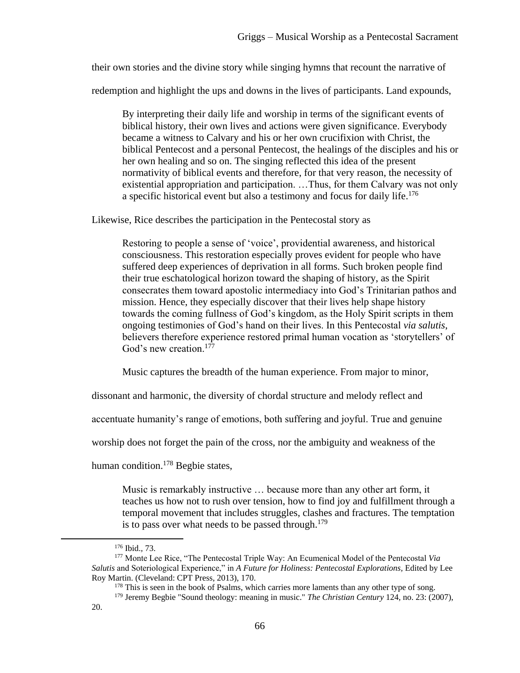their own stories and the divine story while singing hymns that recount the narrative of

redemption and highlight the ups and downs in the lives of participants. Land expounds,

By interpreting their daily life and worship in terms of the significant events of biblical history, their own lives and actions were given significance. Everybody became a witness to Calvary and his or her own crucifixion with Christ, the biblical Pentecost and a personal Pentecost, the healings of the disciples and his or her own healing and so on. The singing reflected this idea of the present normativity of biblical events and therefore, for that very reason, the necessity of existential appropriation and participation. …Thus, for them Calvary was not only a specific historical event but also a testimony and focus for daily life.<sup>176</sup>

Likewise, Rice describes the participation in the Pentecostal story as

Restoring to people a sense of 'voice', providential awareness, and historical consciousness. This restoration especially proves evident for people who have suffered deep experiences of deprivation in all forms. Such broken people find their true eschatological horizon toward the shaping of history, as the Spirit consecrates them toward apostolic intermediacy into God's Trinitarian pathos and mission. Hence, they especially discover that their lives help shape history towards the coming fullness of God's kingdom, as the Holy Spirit scripts in them ongoing testimonies of God's hand on their lives. In this Pentecostal *via salutis*, believers therefore experience restored primal human vocation as 'storytellers' of God's new creation.<sup>177</sup>

Music captures the breadth of the human experience. From major to minor,

dissonant and harmonic, the diversity of chordal structure and melody reflect and

accentuate humanity's range of emotions, both suffering and joyful. True and genuine

worship does not forget the pain of the cross, nor the ambiguity and weakness of the

human condition.<sup>178</sup> Begbie states,

Music is remarkably instructive … because more than any other art form, it teaches us how not to rush over tension, how to find joy and fulfillment through a temporal movement that includes struggles, clashes and fractures. The temptation is to pass over what needs to be passed through.<sup>179</sup>

<sup>176</sup> Ibid.*,* 73.

<sup>177</sup> Monte Lee Rice, "The Pentecostal Triple Way: An Ecumenical Model of the Pentecostal *Via Salutis* and Soteriological Experience," in *A Future for Holiness: Pentecostal Explorations,* Edited by Lee Roy Martin. (Cleveland: CPT Press, 2013), 170.

<sup>&</sup>lt;sup>178</sup> This is seen in the book of Psalms, which carries more laments than any other type of song.

<sup>179</sup> Jeremy Begbie "Sound theology: meaning in music." *The Christian Century* 124, no. 23: (2007), 20.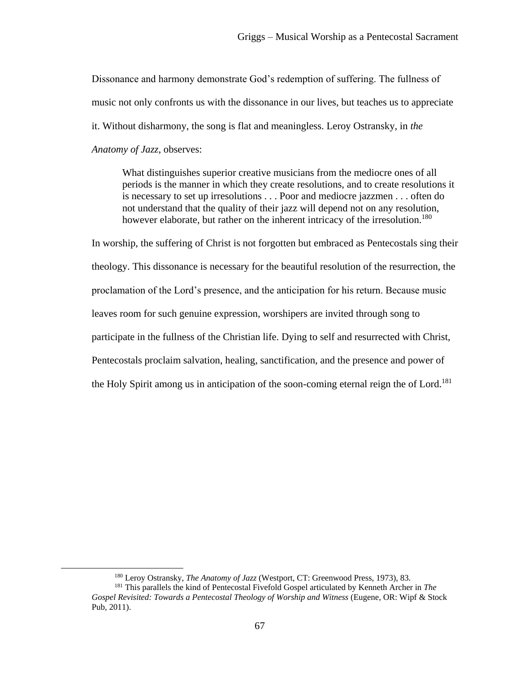Dissonance and harmony demonstrate God's redemption of suffering. The fullness of music not only confronts us with the dissonance in our lives, but teaches us to appreciate it. Without disharmony, the song is flat and meaningless. Leroy Ostransky, in *the Anatomy of Jazz*, observes:

What distinguishes superior creative musicians from the mediocre ones of all periods is the manner in which they create resolutions, and to create resolutions it is necessary to set up irresolutions . . . Poor and mediocre jazzmen . . . often do not understand that the quality of their jazz will depend not on any resolution, however elaborate, but rather on the inherent intricacy of the irresolution.<sup>180</sup>

In worship, the suffering of Christ is not forgotten but embraced as Pentecostals sing their theology. This dissonance is necessary for the beautiful resolution of the resurrection, the proclamation of the Lord's presence, and the anticipation for his return. Because music leaves room for such genuine expression, worshipers are invited through song to participate in the fullness of the Christian life. Dying to self and resurrected with Christ, Pentecostals proclaim salvation, healing, sanctification, and the presence and power of the Holy Spirit among us in anticipation of the soon-coming eternal reign the of Lord.<sup>181</sup>

<sup>180</sup> Leroy Ostransky, *The Anatomy of Jazz* (Westport, CT: Greenwood Press, 1973), 83.

<sup>181</sup> This parallels the kind of Pentecostal Fivefold Gospel articulated by Kenneth Archer in *The Gospel Revisited: Towards a Pentecostal Theology of Worship and Witness* (Eugene, OR: Wipf & Stock Pub, 2011).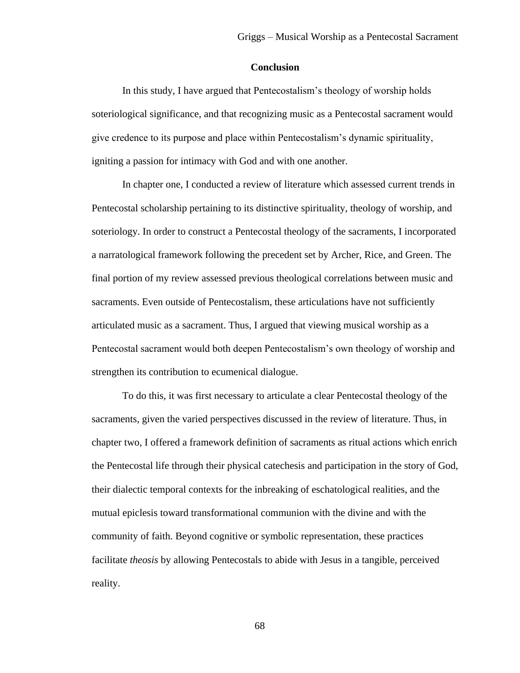## **Conclusion**

In this study, I have argued that Pentecostalism's theology of worship holds soteriological significance, and that recognizing music as a Pentecostal sacrament would give credence to its purpose and place within Pentecostalism's dynamic spirituality, igniting a passion for intimacy with God and with one another.

In chapter one, I conducted a review of literature which assessed current trends in Pentecostal scholarship pertaining to its distinctive spirituality, theology of worship, and soteriology. In order to construct a Pentecostal theology of the sacraments, I incorporated a narratological framework following the precedent set by Archer, Rice, and Green. The final portion of my review assessed previous theological correlations between music and sacraments. Even outside of Pentecostalism, these articulations have not sufficiently articulated music as a sacrament. Thus, I argued that viewing musical worship as a Pentecostal sacrament would both deepen Pentecostalism's own theology of worship and strengthen its contribution to ecumenical dialogue.

To do this, it was first necessary to articulate a clear Pentecostal theology of the sacraments, given the varied perspectives discussed in the review of literature. Thus, in chapter two, I offered a framework definition of sacraments as ritual actions which enrich the Pentecostal life through their physical catechesis and participation in the story of God, their dialectic temporal contexts for the inbreaking of eschatological realities, and the mutual epiclesis toward transformational communion with the divine and with the community of faith. Beyond cognitive or symbolic representation, these practices facilitate *theosis* by allowing Pentecostals to abide with Jesus in a tangible, perceived reality.

68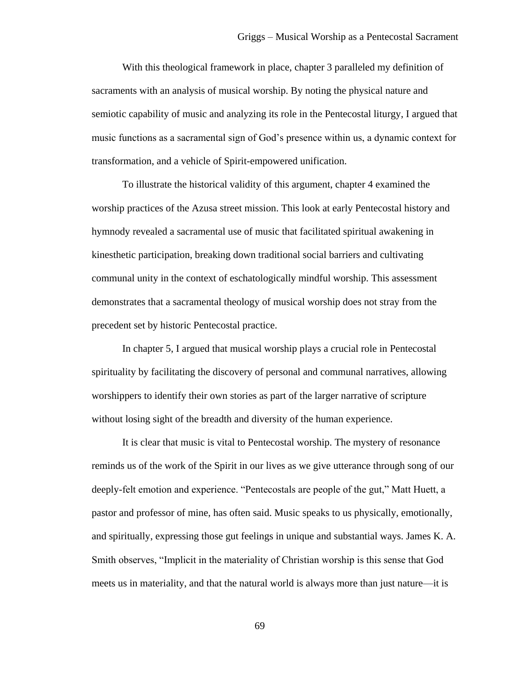With this theological framework in place, chapter 3 paralleled my definition of sacraments with an analysis of musical worship. By noting the physical nature and semiotic capability of music and analyzing its role in the Pentecostal liturgy, I argued that music functions as a sacramental sign of God's presence within us, a dynamic context for transformation, and a vehicle of Spirit-empowered unification.

To illustrate the historical validity of this argument, chapter 4 examined the worship practices of the Azusa street mission. This look at early Pentecostal history and hymnody revealed a sacramental use of music that facilitated spiritual awakening in kinesthetic participation, breaking down traditional social barriers and cultivating communal unity in the context of eschatologically mindful worship. This assessment demonstrates that a sacramental theology of musical worship does not stray from the precedent set by historic Pentecostal practice.

In chapter 5, I argued that musical worship plays a crucial role in Pentecostal spirituality by facilitating the discovery of personal and communal narratives, allowing worshippers to identify their own stories as part of the larger narrative of scripture without losing sight of the breadth and diversity of the human experience.

It is clear that music is vital to Pentecostal worship. The mystery of resonance reminds us of the work of the Spirit in our lives as we give utterance through song of our deeply-felt emotion and experience. "Pentecostals are people of the gut," Matt Huett, a pastor and professor of mine, has often said. Music speaks to us physically, emotionally, and spiritually, expressing those gut feelings in unique and substantial ways. James K. A. Smith observes, "Implicit in the materiality of Christian worship is this sense that God meets us in materiality, and that the natural world is always more than just nature—it is

69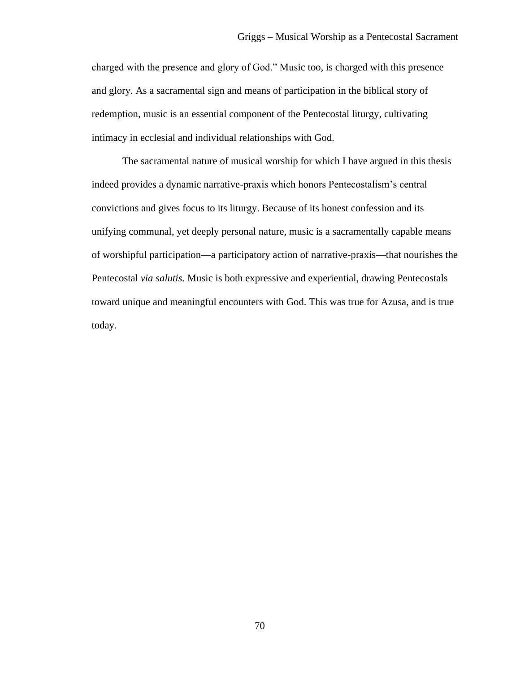charged with the presence and glory of God." Music too, is charged with this presence and glory. As a sacramental sign and means of participation in the biblical story of redemption, music is an essential component of the Pentecostal liturgy, cultivating intimacy in ecclesial and individual relationships with God.

The sacramental nature of musical worship for which I have argued in this thesis indeed provides a dynamic narrative-praxis which honors Pentecostalism's central convictions and gives focus to its liturgy. Because of its honest confession and its unifying communal, yet deeply personal nature, music is a sacramentally capable means of worshipful participation—a participatory action of narrative-praxis—that nourishes the Pentecostal *via salutis.* Music is both expressive and experiential, drawing Pentecostals toward unique and meaningful encounters with God. This was true for Azusa, and is true today.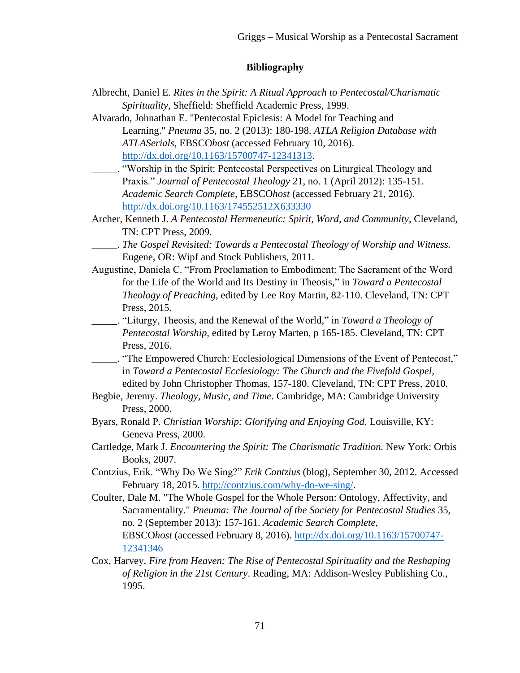# **Bibliography**

- Albrecht, Daniel E. *Rites in the Spirit: A Ritual Approach to Pentecostal/Charismatic Spirituality,* Sheffield: Sheffield Academic Press, 1999.
- Alvarado, Johnathan E. "Pentecostal Epiclesis: A Model for Teaching and Learning." *Pneuma* 35, no. 2 (2013): 180-198. *ATLA Religion Database with ATLASerials*, EBSCO*host* (accessed February 10, 2016). [http://dx.doi.org/10.1163/15700747-12341313.](http://dx.doi.org/10.1163/15700747-12341313)
- \_\_\_\_\_. "Worship in the Spirit: Pentecostal Perspectives on Liturgical Theology and Praxis." *Journal of Pentecostal Theology* 21, no. 1 (April 2012): 135-151. *Academic Search Complete*, EBSCO*host* (accessed February 21, 2016). <http://dx.doi.org/10.1163/174552512X633330>
- Archer, Kenneth J. *A Pentecostal Hermeneutic: Spirit, Word, and Community*, Cleveland, TN: CPT Press, 2009.
- \_\_\_\_\_. *The Gospel Revisited: Towards a Pentecostal Theology of Worship and Witness.* Eugene, OR: Wipf and Stock Publishers, 2011.
- Augustine, Daniela C. "From Proclamation to Embodiment: The Sacrament of the Word for the Life of the World and Its Destiny in Theosis," in *Toward a Pentecostal Theology of Preaching,* edited by Lee Roy Martin, 82-110. Cleveland, TN: CPT Press, 2015.
- \_\_\_\_\_. "Liturgy, Theosis, and the Renewal of the World," in *Toward a Theology of Pentecostal Worship,* edited by Leroy Marten, p 165-185. Cleveland, TN: CPT Press, 2016.
- \_\_\_\_\_. "The Empowered Church: Ecclesiological Dimensions of the Event of Pentecost," in *Toward a Pentecostal Ecclesiology: The Church and the Fivefold Gospel,* edited by John Christopher Thomas, 157-180. Cleveland, TN: CPT Press, 2010.
- Begbie, Jeremy. *Theology, Music, and Time*. Cambridge, MA: Cambridge University Press, 2000.
- Byars, Ronald P. *Christian Worship: Glorifying and Enjoying God*. Louisville, KY: Geneva Press, 2000.
- Cartledge, Mark J. *Encountering the Spirit: The Charismatic Tradition.* New York: Orbis Books, 2007.
- Contzius, Erik. "Why Do We Sing?" *Erik Contzius* (blog), September 30, 2012. Accessed February 18, 2015. [http://contzius.com/why-do-we-sing/.](http://contzius.com/why-do-we-sing/)
- Coulter, Dale M. "The Whole Gospel for the Whole Person: Ontology, Affectivity, and Sacramentality." *Pneuma: The Journal of the Society for Pentecostal Studies* 35, no. 2 (September 2013): 157-161. *Academic Search Complete*, EBSCO*host* (accessed February 8, 2016). [http://dx.doi.org/10.1163/15700747-](http://dx.doi.org/10.1163/15700747-12341346) [12341346](http://dx.doi.org/10.1163/15700747-12341346)
- Cox, Harvey. *Fire from Heaven: The Rise of Pentecostal Spirituality and the Reshaping of Religion in the 21st Century*. Reading, MA: Addison-Wesley Publishing Co., 1995.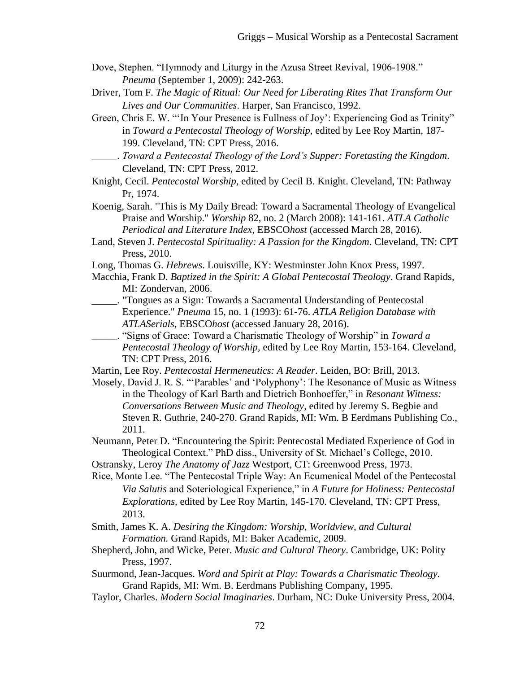- Dove, Stephen. "Hymnody and Liturgy in the Azusa Street Revival, 1906-1908." *Pneuma* (September 1, 2009): 242-263.
- Driver, Tom F. *The Magic of Ritual: Our Need for Liberating Rites That Transform Our Lives and Our Communities*. Harper, San Francisco, 1992.
- Green, Chris E. W. "'In Your Presence is Fullness of Joy': Experiencing God as Trinity" in *Toward a Pentecostal Theology of Worship,* edited by Lee Roy Martin, 187- 199. Cleveland, TN: CPT Press, 2016.
- \_\_\_\_\_. *Toward a Pentecostal Theology of the Lord's Supper: Foretasting the Kingdom*. Cleveland, TN: CPT Press, 2012.
- Knight, Cecil. *Pentecostal Worship*, edited by Cecil B. Knight. Cleveland, TN: Pathway Pr, 1974.
- Koenig, Sarah. "This is My Daily Bread: Toward a Sacramental Theology of Evangelical Praise and Worship." *Worship* 82, no. 2 (March 2008): 141-161. *ATLA Catholic Periodical and Literature Index*, EBSCO*host* (accessed March 28, 2016).
- Land, Steven J. *Pentecostal Spirituality: A Passion for the Kingdom*. Cleveland, TN: CPT Press, 2010.
- Long, Thomas G. *Hebrews*. Louisville, KY: Westminster John Knox Press, 1997.
- Macchia, Frank D. *Baptized in the Spirit: A Global Pentecostal Theology*. Grand Rapids, MI: Zondervan, 2006.
- \_\_\_\_\_. "Tongues as a Sign: Towards a Sacramental Understanding of Pentecostal Experience." *Pneuma* 15, no. 1 (1993): 61-76. *ATLA Religion Database with ATLASerials*, EBSCO*host* (accessed January 28, 2016).
- \_\_\_\_\_. "Signs of Grace: Toward a Charismatic Theology of Worship" in *Toward a Pentecostal Theology of Worship,* edited by Lee Roy Martin, 153-164. Cleveland, TN: CPT Press, 2016.
- Martin, Lee Roy. *Pentecostal Hermeneutics: A Reader*. Leiden, BO: Brill, 2013.
- Mosely, David J. R. S. "'Parables' and 'Polyphony': The Resonance of Music as Witness in the Theology of Karl Barth and Dietrich Bonhoeffer," in *Resonant Witness: Conversations Between Music and Theology,* edited by Jeremy S. Begbie and Steven R. Guthrie, 240-270. Grand Rapids, MI: Wm. B Eerdmans Publishing Co., 2011.
- Neumann, Peter D. "Encountering the Spirit: Pentecostal Mediated Experience of God in Theological Context." PhD diss., University of St. Michael's College, 2010.
- Ostransky, Leroy *The Anatomy of Jazz* Westport, CT: Greenwood Press, 1973.
- Rice, Monte Lee. "The Pentecostal Triple Way: An Ecumenical Model of the Pentecostal *Via Salutis* and Soteriological Experience," in *A Future for Holiness: Pentecostal Explorations,* edited by Lee Roy Martin, 145-170. Cleveland, TN: CPT Press, 2013.
- Smith, James K. A. *Desiring the Kingdom: Worship, Worldview, and Cultural Formation.* Grand Rapids, MI: Baker Academic, 2009.
- Shepherd, John, and Wicke, Peter. *Music and Cultural Theory*. Cambridge, UK: Polity Press, 1997.
- Suurmond, Jean-Jacques. *Word and Spirit at Play: Towards a Charismatic Theology.*  Grand Rapids, MI: Wm. B. Eerdmans Publishing Company, 1995.
- Taylor, Charles. *Modern Social Imaginaries*. Durham, NC: Duke University Press, 2004.